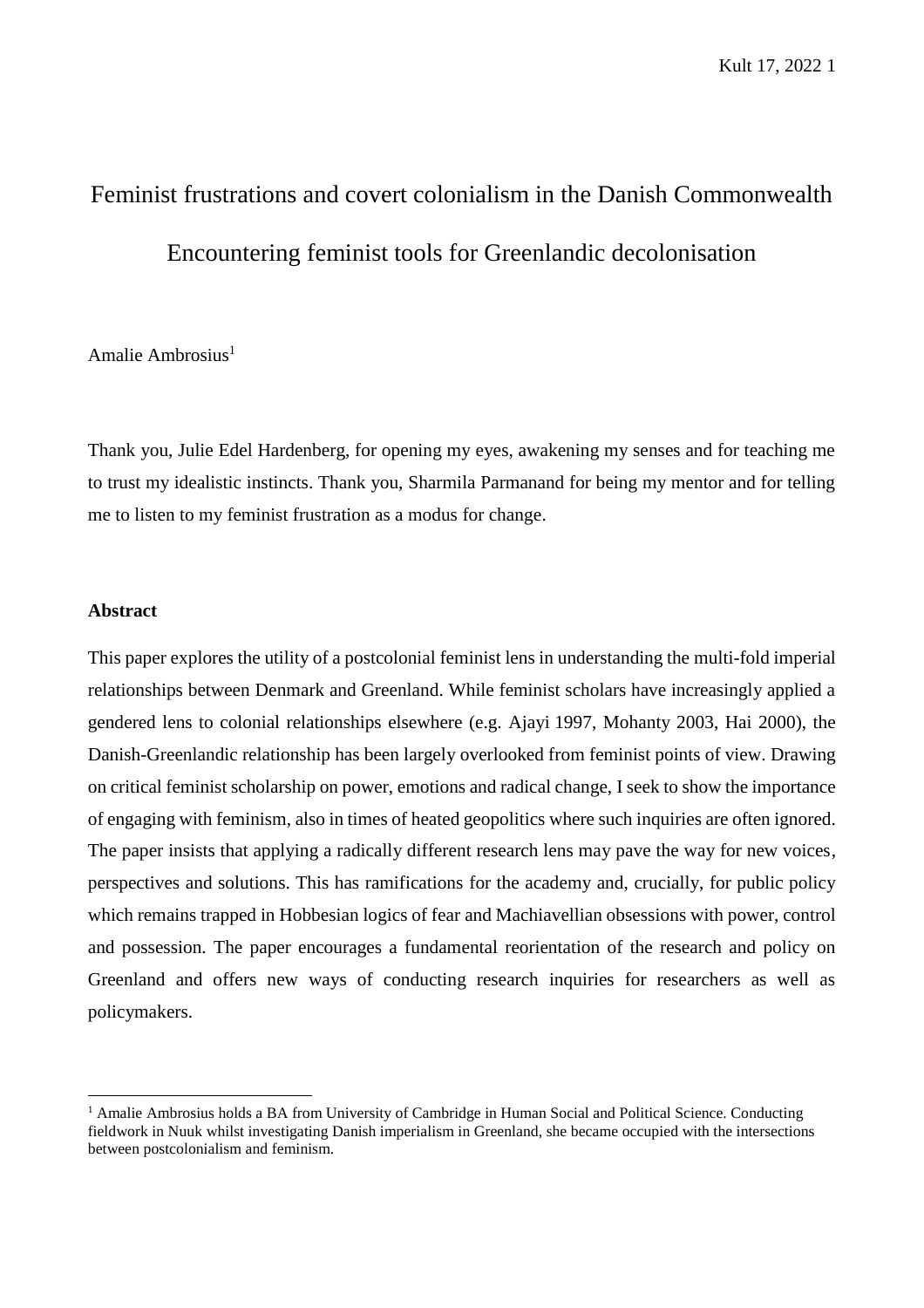# Feminist frustrations and covert colonialism in the Danish Commonwealth Encountering feminist tools for Greenlandic decolonisation

Amalie Ambrosius $<sup>1</sup>$ </sup>

Thank you, Julie Edel Hardenberg, for opening my eyes, awakening my senses and for teaching me to trust my idealistic instincts. Thank you, Sharmila Parmanand for being my mentor and for telling me to listen to my feminist frustration as a modus for change.

## **Abstract**

 $\overline{a}$ 

This paper explores the utility of a postcolonial feminist lens in understanding the multi-fold imperial relationships between Denmark and Greenland. While feminist scholars have increasingly applied a gendered lens to colonial relationships elsewhere (e.g. Ajayi 1997, Mohanty 2003, Hai 2000), the Danish-Greenlandic relationship has been largely overlooked from feminist points of view. Drawing on critical feminist scholarship on power, emotions and radical change, I seek to show the importance of engaging with feminism, also in times of heated geopolitics where such inquiries are often ignored. The paper insists that applying a radically different research lens may pave the way for new voices, perspectives and solutions. This has ramifications for the academy and, crucially, for public policy which remains trapped in Hobbesian logics of fear and Machiavellian obsessions with power, control and possession. The paper encourages a fundamental reorientation of the research and policy on Greenland and offers new ways of conducting research inquiries for researchers as well as policymakers.

<sup>&</sup>lt;sup>1</sup> Amalie Ambrosius holds a BA from University of Cambridge in Human Social and Political Science. Conducting fieldwork in Nuuk whilst investigating Danish imperialism in Greenland, she became occupied with the intersections between postcolonialism and feminism.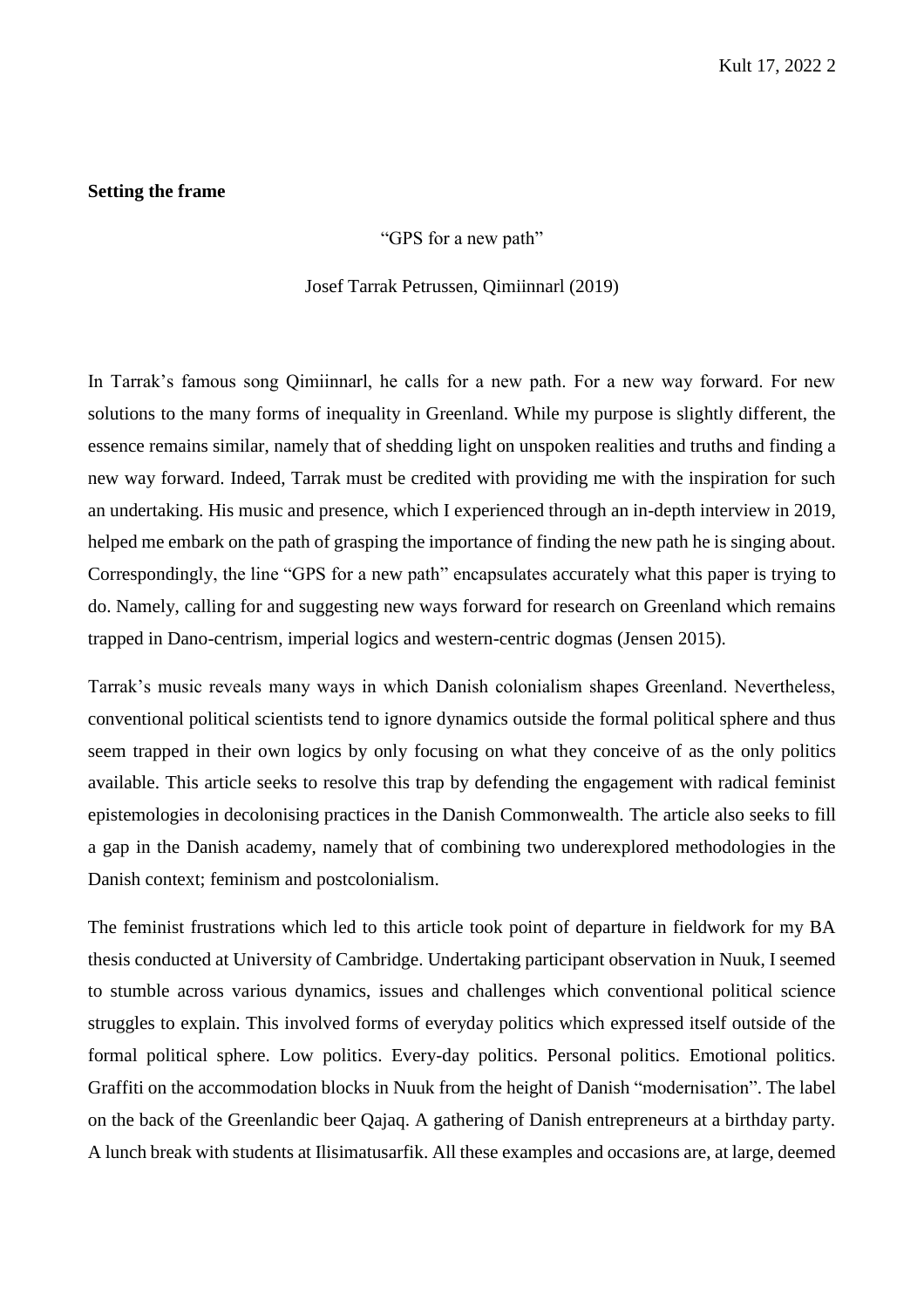#### **Setting the frame**

"GPS for a new path"

Josef Tarrak Petrussen, Qimiinnarl (2019)

In Tarrak's famous song Qimiinnarl, he calls for a new path. For a new way forward. For new solutions to the many forms of inequality in Greenland. While my purpose is slightly different, the essence remains similar, namely that of shedding light on unspoken realities and truths and finding a new way forward. Indeed, Tarrak must be credited with providing me with the inspiration for such an undertaking. His music and presence, which I experienced through an in-depth interview in 2019, helped me embark on the path of grasping the importance of finding the new path he is singing about. Correspondingly, the line "GPS for a new path" encapsulates accurately what this paper is trying to do. Namely, calling for and suggesting new ways forward for research on Greenland which remains trapped in Dano-centrism, imperial logics and western-centric dogmas (Jensen 2015).

Tarrak's music reveals many ways in which Danish colonialism shapes Greenland. Nevertheless, conventional political scientists tend to ignore dynamics outside the formal political sphere and thus seem trapped in their own logics by only focusing on what they conceive of as the only politics available. This article seeks to resolve this trap by defending the engagement with radical feminist epistemologies in decolonising practices in the Danish Commonwealth. The article also seeks to fill a gap in the Danish academy, namely that of combining two underexplored methodologies in the Danish context; feminism and postcolonialism.

The feminist frustrations which led to this article took point of departure in fieldwork for my BA thesis conducted at University of Cambridge. Undertaking participant observation in Nuuk, I seemed to stumble across various dynamics, issues and challenges which conventional political science struggles to explain. This involved forms of everyday politics which expressed itself outside of the formal political sphere. Low politics. Every-day politics. Personal politics. Emotional politics. Graffiti on the accommodation blocks in Nuuk from the height of Danish "modernisation". The label on the back of the Greenlandic beer Qajaq. A gathering of Danish entrepreneurs at a birthday party. A lunch break with students at Ilisimatusarfik. All these examples and occasions are, at large, deemed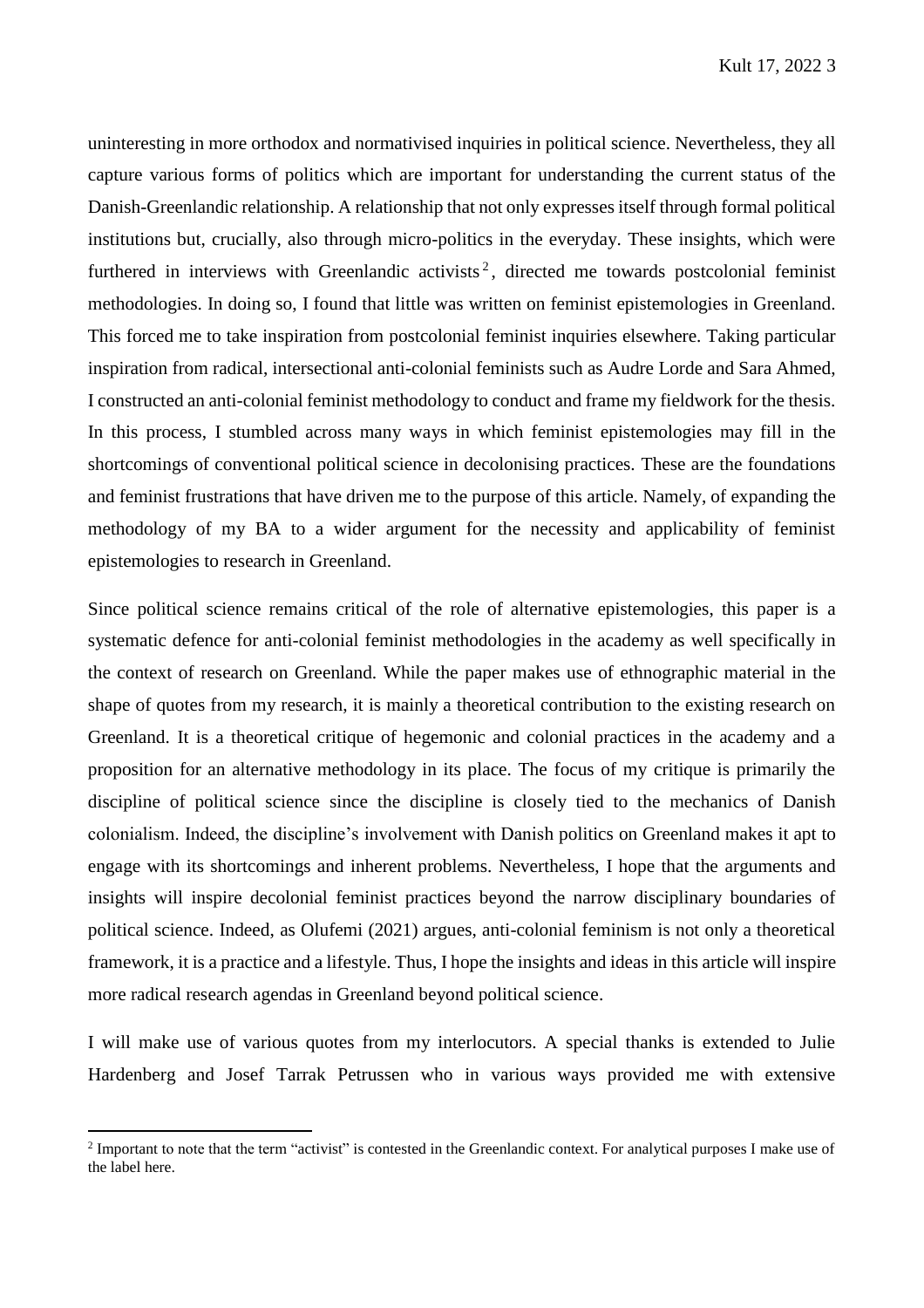uninteresting in more orthodox and normativised inquiries in political science. Nevertheless, they all capture various forms of politics which are important for understanding the current status of the Danish-Greenlandic relationship. A relationship that not only expresses itself through formal political institutions but, crucially, also through micro-politics in the everyday. These insights, which were furthered in interviews with Greenlandic activists<sup>2</sup>, directed me towards postcolonial feminist methodologies. In doing so, I found that little was written on feminist epistemologies in Greenland. This forced me to take inspiration from postcolonial feminist inquiries elsewhere. Taking particular inspiration from radical, intersectional anti-colonial feminists such as Audre Lorde and Sara Ahmed, I constructed an anti-colonial feminist methodology to conduct and frame my fieldwork for the thesis. In this process, I stumbled across many ways in which feminist epistemologies may fill in the shortcomings of conventional political science in decolonising practices. These are the foundations and feminist frustrations that have driven me to the purpose of this article. Namely, of expanding the methodology of my BA to a wider argument for the necessity and applicability of feminist epistemologies to research in Greenland.

Since political science remains critical of the role of alternative epistemologies, this paper is a systematic defence for anti-colonial feminist methodologies in the academy as well specifically in the context of research on Greenland. While the paper makes use of ethnographic material in the shape of quotes from my research, it is mainly a theoretical contribution to the existing research on Greenland. It is a theoretical critique of hegemonic and colonial practices in the academy and a proposition for an alternative methodology in its place. The focus of my critique is primarily the discipline of political science since the discipline is closely tied to the mechanics of Danish colonialism. Indeed, the discipline's involvement with Danish politics on Greenland makes it apt to engage with its shortcomings and inherent problems. Nevertheless, I hope that the arguments and insights will inspire decolonial feminist practices beyond the narrow disciplinary boundaries of political science. Indeed, as Olufemi (2021) argues, anti-colonial feminism is not only a theoretical framework, it is a practice and a lifestyle. Thus, I hope the insights and ideas in this article will inspire more radical research agendas in Greenland beyond political science.

I will make use of various quotes from my interlocutors. A special thanks is extended to Julie Hardenberg and Josef Tarrak Petrussen who in various ways provided me with extensive

 $\overline{a}$ 

<sup>&</sup>lt;sup>2</sup> Important to note that the term "activist" is contested in the Greenlandic context. For analytical purposes I make use of the label here.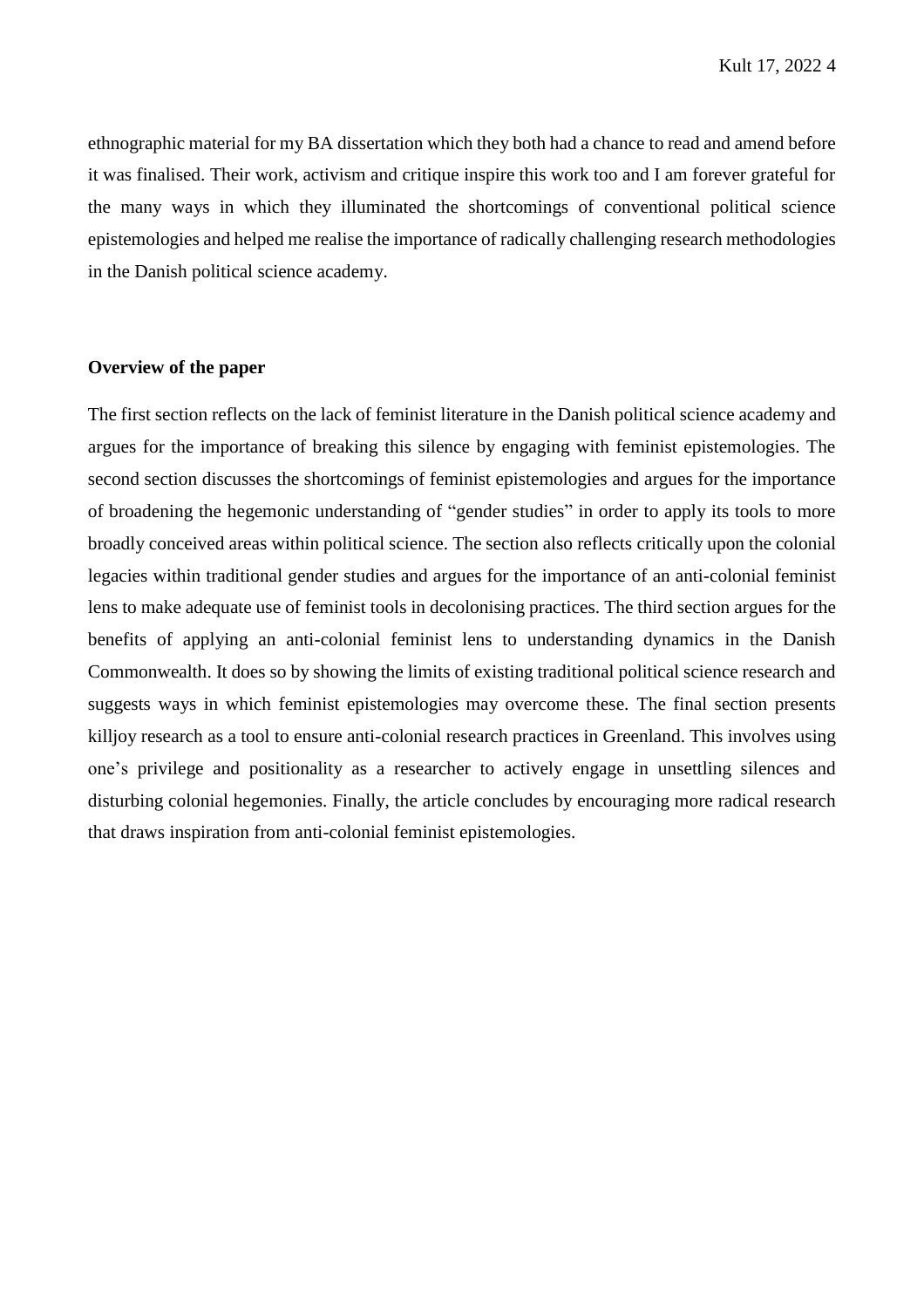ethnographic material for my BA dissertation which they both had a chance to read and amend before it was finalised. Their work, activism and critique inspire this work too and I am forever grateful for the many ways in which they illuminated the shortcomings of conventional political science epistemologies and helped me realise the importance of radically challenging research methodologies in the Danish political science academy.

# **Overview of the paper**

The first section reflects on the lack of feminist literature in the Danish political science academy and argues for the importance of breaking this silence by engaging with feminist epistemologies. The second section discusses the shortcomings of feminist epistemologies and argues for the importance of broadening the hegemonic understanding of "gender studies" in order to apply its tools to more broadly conceived areas within political science. The section also reflects critically upon the colonial legacies within traditional gender studies and argues for the importance of an anti-colonial feminist lens to make adequate use of feminist tools in decolonising practices. The third section argues for the benefits of applying an anti-colonial feminist lens to understanding dynamics in the Danish Commonwealth. It does so by showing the limits of existing traditional political science research and suggests ways in which feminist epistemologies may overcome these. The final section presents killjoy research as a tool to ensure anti-colonial research practices in Greenland. This involves using one's privilege and positionality as a researcher to actively engage in unsettling silences and disturbing colonial hegemonies. Finally, the article concludes by encouraging more radical research that draws inspiration from anti-colonial feminist epistemologies.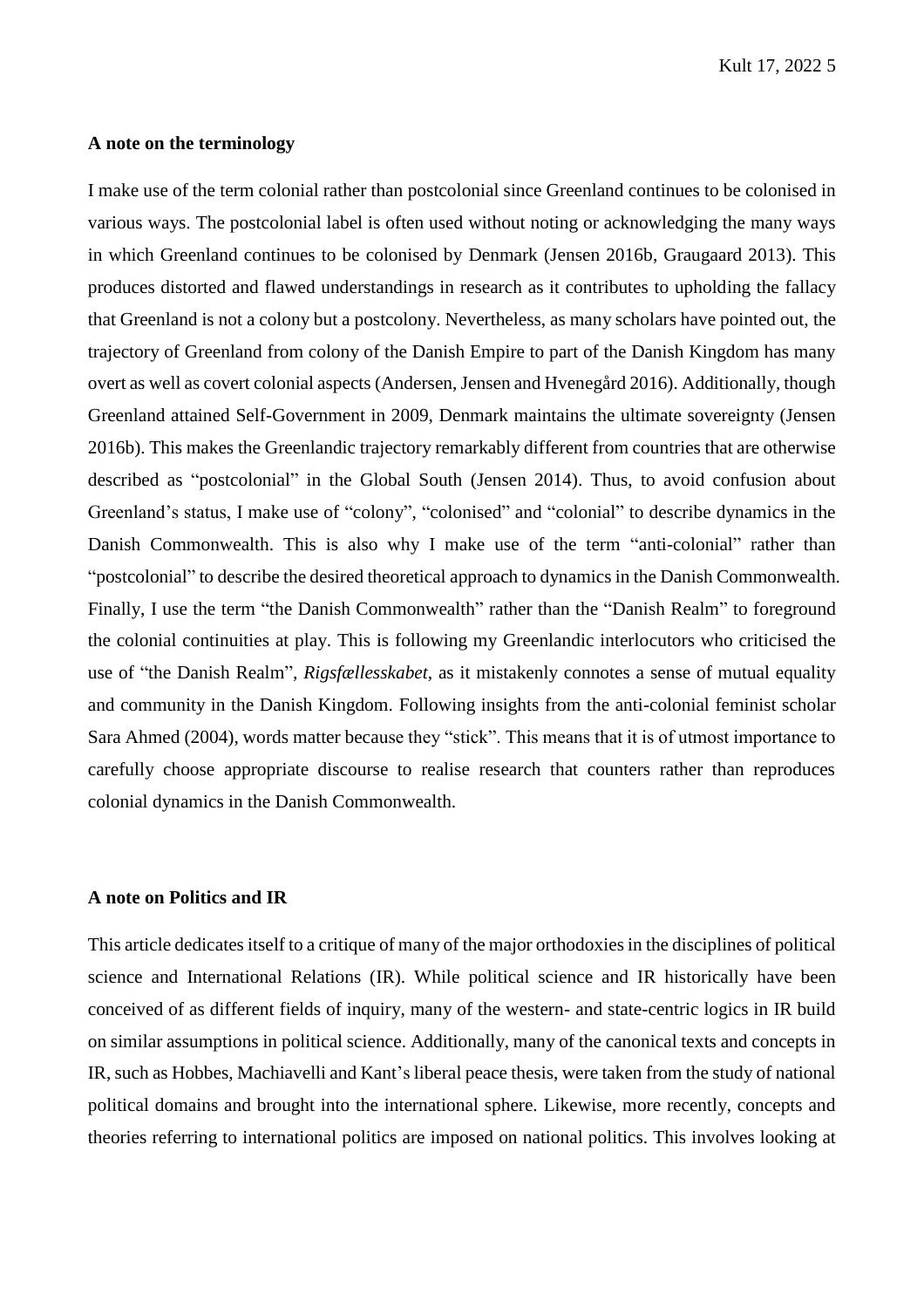## **A note on the terminology**

I make use of the term colonial rather than postcolonial since Greenland continues to be colonised in various ways. The postcolonial label is often used without noting or acknowledging the many ways in which Greenland continues to be colonised by Denmark (Jensen 2016b, Graugaard 2013). This produces distorted and flawed understandings in research as it contributes to upholding the fallacy that Greenland is not a colony but a postcolony. Nevertheless, as many scholars have pointed out, the trajectory of Greenland from colony of the Danish Empire to part of the Danish Kingdom has many overt as well as covert colonial aspects (Andersen, Jensen and Hvenegård 2016). Additionally, though Greenland attained Self-Government in 2009, Denmark maintains the ultimate sovereignty (Jensen 2016b). This makes the Greenlandic trajectory remarkably different from countries that are otherwise described as "postcolonial" in the Global South (Jensen 2014). Thus, to avoid confusion about Greenland's status, I make use of "colony", "colonised" and "colonial" to describe dynamics in the Danish Commonwealth. This is also why I make use of the term "anti-colonial" rather than "postcolonial" to describe the desired theoretical approach to dynamics in the Danish Commonwealth. Finally, I use the term "the Danish Commonwealth" rather than the "Danish Realm" to foreground the colonial continuities at play. This is following my Greenlandic interlocutors who criticised the use of "the Danish Realm", *Rigsfællesskabet*, as it mistakenly connotes a sense of mutual equality and community in the Danish Kingdom. Following insights from the anti-colonial feminist scholar Sara Ahmed (2004), words matter because they "stick". This means that it is of utmost importance to carefully choose appropriate discourse to realise research that counters rather than reproduces colonial dynamics in the Danish Commonwealth.

#### **A note on Politics and IR**

This article dedicates itself to a critique of many of the major orthodoxies in the disciplines of political science and International Relations (IR). While political science and IR historically have been conceived of as different fields of inquiry, many of the western- and state-centric logics in IR build on similar assumptions in political science. Additionally, many of the canonical texts and concepts in IR, such as Hobbes, Machiavelli and Kant's liberal peace thesis, were taken from the study of national political domains and brought into the international sphere. Likewise, more recently, concepts and theories referring to international politics are imposed on national politics. This involves looking at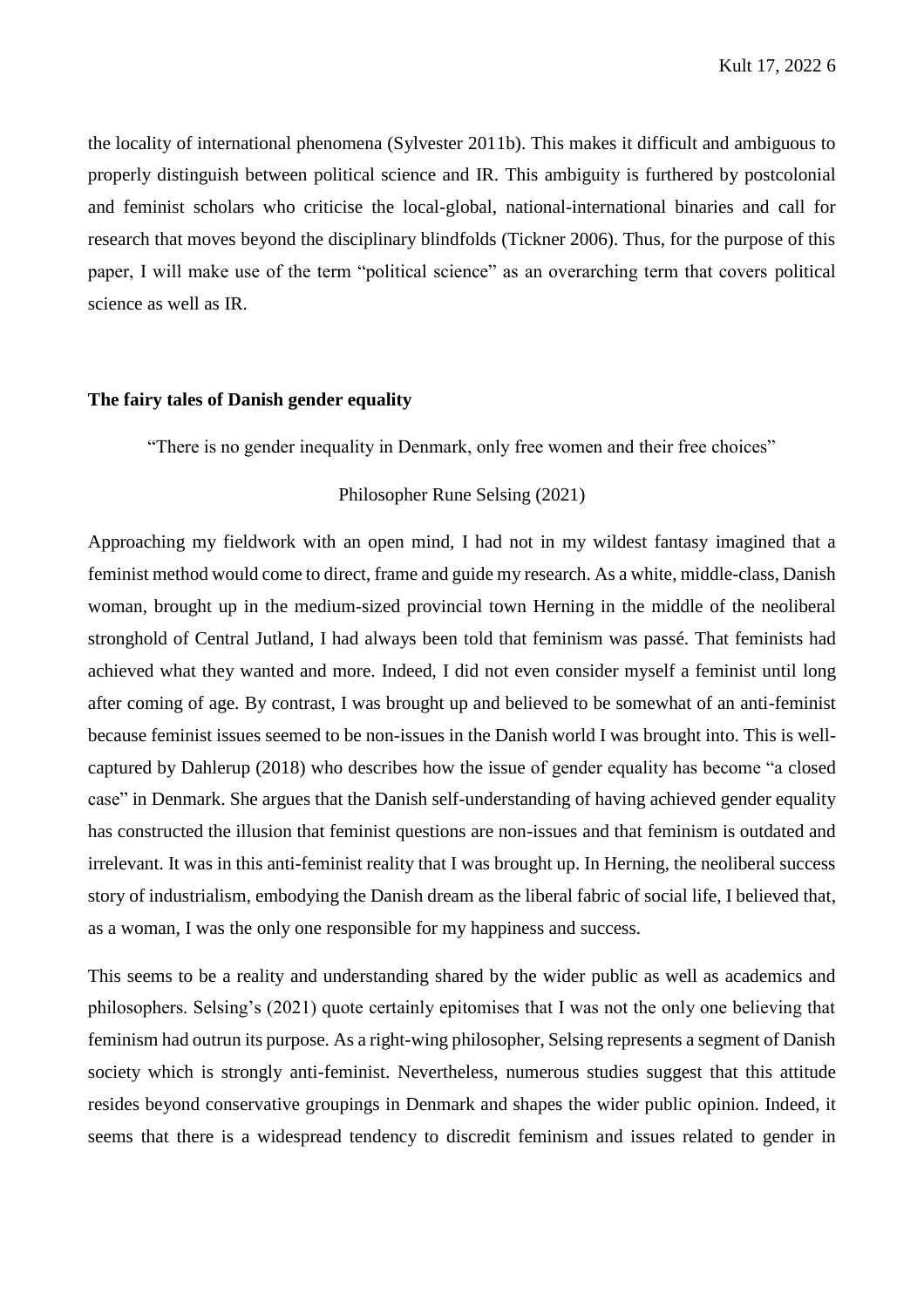the locality of international phenomena (Sylvester 2011b). This makes it difficult and ambiguous to properly distinguish between political science and IR. This ambiguity is furthered by postcolonial and feminist scholars who criticise the local-global, national-international binaries and call for research that moves beyond the disciplinary blindfolds (Tickner 2006). Thus, for the purpose of this paper, I will make use of the term "political science" as an overarching term that covers political science as well as IR.

## **The fairy tales of Danish gender equality**

"There is no gender inequality in Denmark, only free women and their free choices"

### Philosopher Rune Selsing (2021)

Approaching my fieldwork with an open mind, I had not in my wildest fantasy imagined that a feminist method would come to direct, frame and guide my research. As a white, middle-class, Danish woman, brought up in the medium-sized provincial town Herning in the middle of the neoliberal stronghold of Central Jutland, I had always been told that feminism was passé. That feminists had achieved what they wanted and more. Indeed, I did not even consider myself a feminist until long after coming of age. By contrast, I was brought up and believed to be somewhat of an anti-feminist because feminist issues seemed to be non-issues in the Danish world I was brought into. This is wellcaptured by Dahlerup (2018) who describes how the issue of gender equality has become "a closed case" in Denmark. She argues that the Danish self-understanding of having achieved gender equality has constructed the illusion that feminist questions are non-issues and that feminism is outdated and irrelevant. It was in this anti-feminist reality that I was brought up. In Herning, the neoliberal success story of industrialism, embodying the Danish dream as the liberal fabric of social life, I believed that, as a woman, I was the only one responsible for my happiness and success.

This seems to be a reality and understanding shared by the wider public as well as academics and philosophers. Selsing's (2021) quote certainly epitomises that I was not the only one believing that feminism had outrun its purpose. As a right-wing philosopher, Selsing represents a segment of Danish society which is strongly anti-feminist. Nevertheless, numerous studies suggest that this attitude resides beyond conservative groupings in Denmark and shapes the wider public opinion. Indeed, it seems that there is a widespread tendency to discredit feminism and issues related to gender in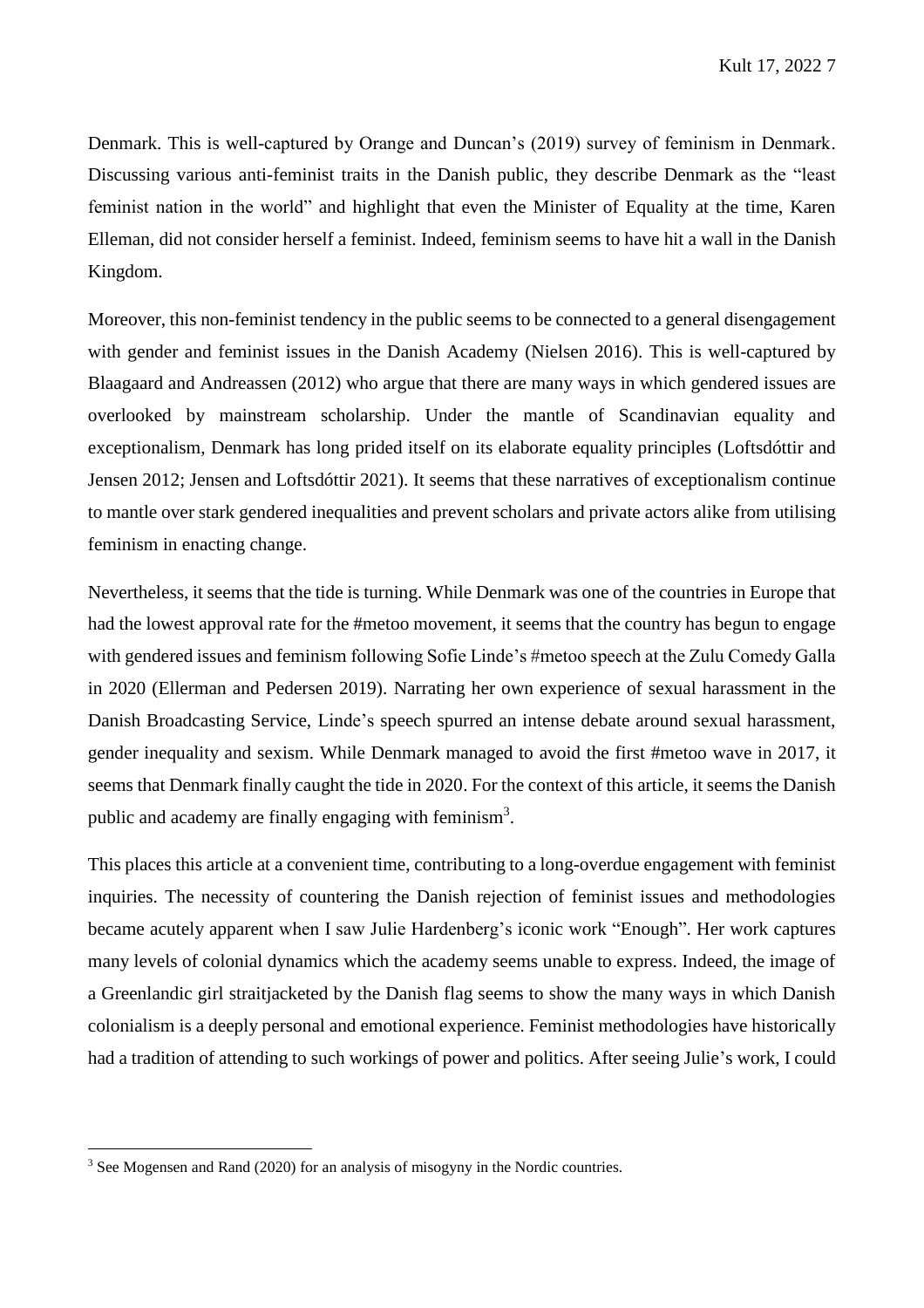Denmark. This is well-captured by Orange and Duncan's (2019) survey of feminism in Denmark. Discussing various anti-feminist traits in the Danish public, they describe Denmark as the "least feminist nation in the world" and highlight that even the Minister of Equality at the time, Karen Elleman, did not consider herself a feminist. Indeed, feminism seems to have hit a wall in the Danish Kingdom.

Moreover, this non-feminist tendency in the public seems to be connected to a general disengagement with gender and feminist issues in the Danish Academy (Nielsen 2016). This is well-captured by Blaagaard and Andreassen (2012) who argue that there are many ways in which gendered issues are overlooked by mainstream scholarship. Under the mantle of Scandinavian equality and exceptionalism, Denmark has long prided itself on its elaborate equality principles (Loftsdóttir and Jensen 2012; Jensen and Loftsdóttir 2021). It seems that these narratives of exceptionalism continue to mantle over stark gendered inequalities and prevent scholars and private actors alike from utilising feminism in enacting change.

Nevertheless, it seems that the tide is turning. While Denmark was one of the countries in Europe that had the lowest approval rate for the #metoo movement, it seems that the country has begun to engage with gendered issues and feminism following Sofie Linde's #metoo speech at the Zulu Comedy Galla in 2020 (Ellerman and Pedersen 2019). Narrating her own experience of sexual harassment in the Danish Broadcasting Service, Linde's speech spurred an intense debate around sexual harassment, gender inequality and sexism. While Denmark managed to avoid the first #metoo wave in 2017, it seems that Denmark finally caught the tide in 2020. For the context of this article, it seems the Danish public and academy are finally engaging with feminism<sup>3</sup>.

This places this article at a convenient time, contributing to a long-overdue engagement with feminist inquiries. The necessity of countering the Danish rejection of feminist issues and methodologies became acutely apparent when I saw Julie Hardenberg's iconic work "Enough". Her work captures many levels of colonial dynamics which the academy seems unable to express. Indeed, the image of a Greenlandic girl straitjacketed by the Danish flag seems to show the many ways in which Danish colonialism is a deeply personal and emotional experience. Feminist methodologies have historically had a tradition of attending to such workings of power and politics. After seeing Julie's work, I could

 $\overline{a}$ 

<sup>&</sup>lt;sup>3</sup> See Mogensen and Rand (2020) for an analysis of misogyny in the Nordic countries.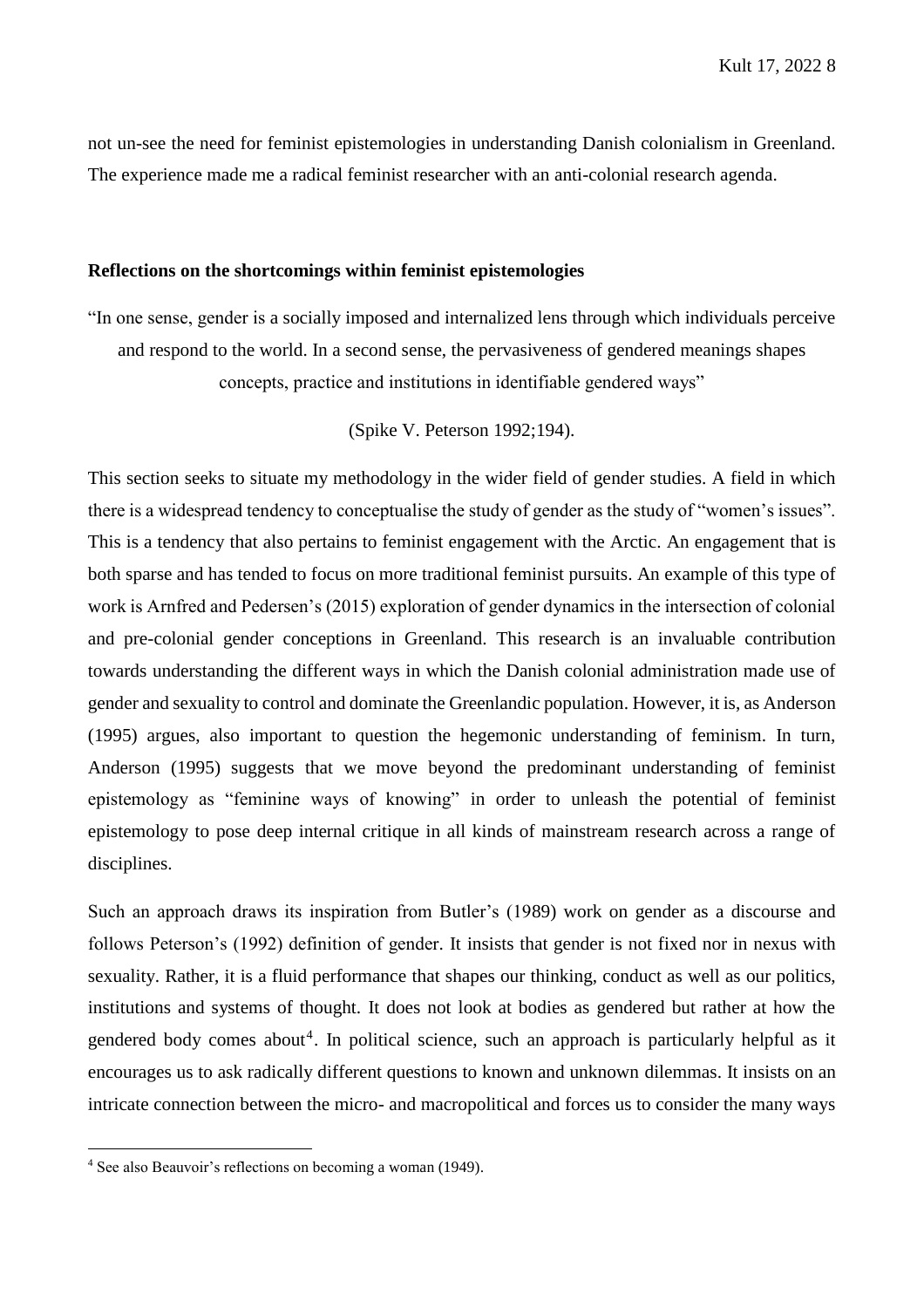not un-see the need for feminist epistemologies in understanding Danish colonialism in Greenland. The experience made me a radical feminist researcher with an anti-colonial research agenda.

#### **Reflections on the shortcomings within feminist epistemologies**

"In one sense, gender is a socially imposed and internalized lens through which individuals perceive and respond to the world. In a second sense, the pervasiveness of gendered meanings shapes concepts, practice and institutions in identifiable gendered ways"

(Spike V. Peterson 1992;194).

This section seeks to situate my methodology in the wider field of gender studies. A field in which there is a widespread tendency to conceptualise the study of gender as the study of "women's issues". This is a tendency that also pertains to feminist engagement with the Arctic. An engagement that is both sparse and has tended to focus on more traditional feminist pursuits. An example of this type of work is Arnfred and Pedersen's (2015) exploration of gender dynamics in the intersection of colonial and pre-colonial gender conceptions in Greenland. This research is an invaluable contribution towards understanding the different ways in which the Danish colonial administration made use of gender and sexuality to control and dominate the Greenlandic population. However, it is, as Anderson (1995) argues, also important to question the hegemonic understanding of feminism. In turn, Anderson (1995) suggests that we move beyond the predominant understanding of feminist epistemology as "feminine ways of knowing" in order to unleash the potential of feminist epistemology to pose deep internal critique in all kinds of mainstream research across a range of disciplines.

Such an approach draws its inspiration from Butler's (1989) work on gender as a discourse and follows Peterson's (1992) definition of gender. It insists that gender is not fixed nor in nexus with sexuality. Rather, it is a fluid performance that shapes our thinking, conduct as well as our politics, institutions and systems of thought. It does not look at bodies as gendered but rather at how the gendered body comes about<sup>4</sup>. In political science, such an approach is particularly helpful as it encourages us to ask radically different questions to known and unknown dilemmas. It insists on an intricate connection between the micro- and macropolitical and forces us to consider the many ways

 $\overline{a}$ 

<sup>4</sup> See also Beauvoir's reflections on becoming a woman (1949).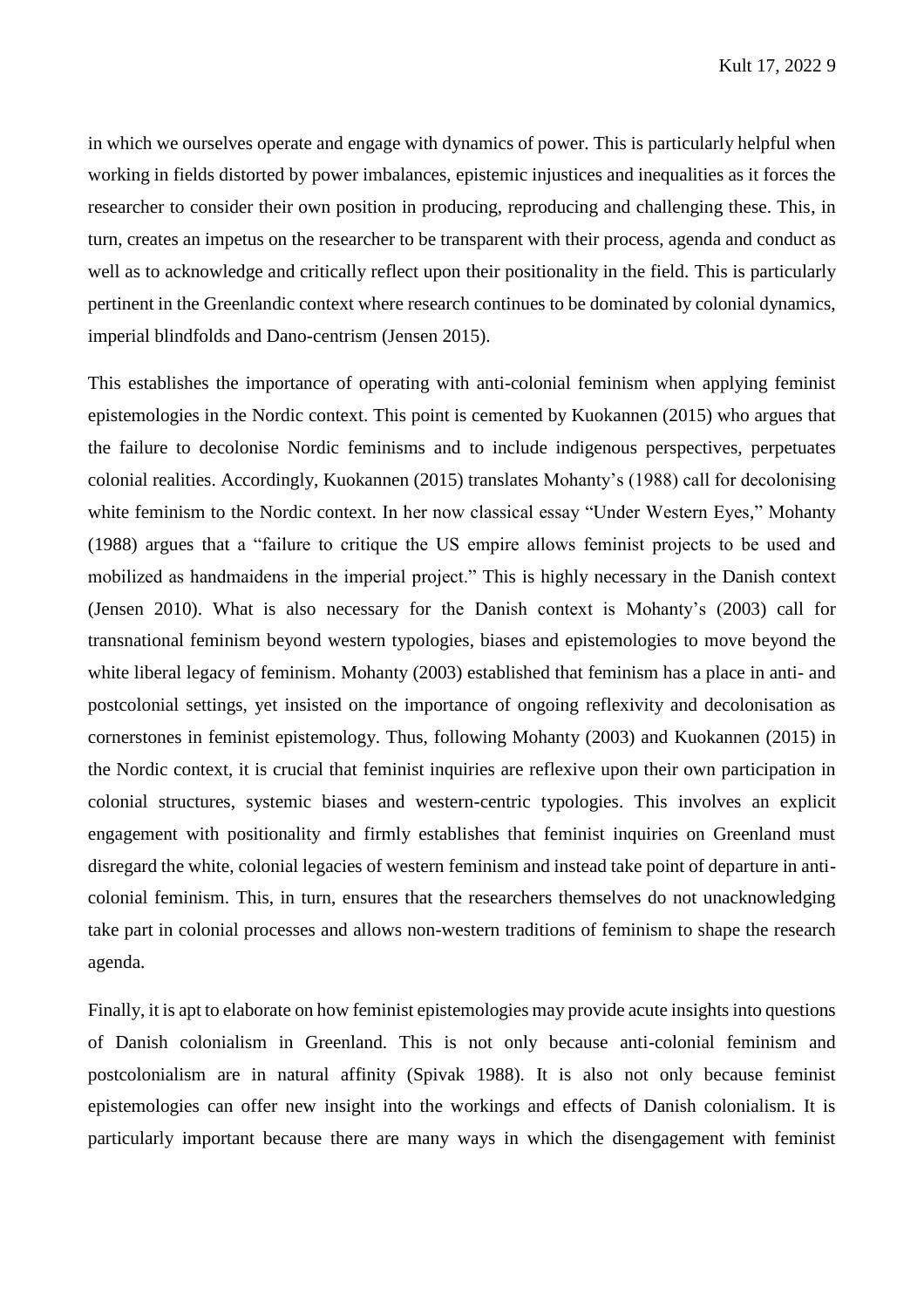in which we ourselves operate and engage with dynamics of power. This is particularly helpful when working in fields distorted by power imbalances, epistemic injustices and inequalities as it forces the researcher to consider their own position in producing, reproducing and challenging these. This, in turn, creates an impetus on the researcher to be transparent with their process, agenda and conduct as well as to acknowledge and critically reflect upon their positionality in the field. This is particularly pertinent in the Greenlandic context where research continues to be dominated by colonial dynamics, imperial blindfolds and Dano-centrism (Jensen 2015).

This establishes the importance of operating with anti-colonial feminism when applying feminist epistemologies in the Nordic context. This point is cemented by Kuokannen (2015) who argues that the failure to decolonise Nordic feminisms and to include indigenous perspectives, perpetuates colonial realities. Accordingly, Kuokannen (2015) translates Mohanty's (1988) call for decolonising white feminism to the Nordic context. In her now classical essay "Under Western Eyes," Mohanty (1988) argues that a "failure to critique the US empire allows feminist projects to be used and mobilized as handmaidens in the imperial project." This is highly necessary in the Danish context (Jensen 2010). What is also necessary for the Danish context is Mohanty's (2003) call for transnational feminism beyond western typologies, biases and epistemologies to move beyond the white liberal legacy of feminism. Mohanty (2003) established that feminism has a place in anti- and postcolonial settings, yet insisted on the importance of ongoing reflexivity and decolonisation as cornerstones in feminist epistemology. Thus, following Mohanty (2003) and Kuokannen (2015) in the Nordic context, it is crucial that feminist inquiries are reflexive upon their own participation in colonial structures, systemic biases and western-centric typologies. This involves an explicit engagement with positionality and firmly establishes that feminist inquiries on Greenland must disregard the white, colonial legacies of western feminism and instead take point of departure in anticolonial feminism. This, in turn, ensures that the researchers themselves do not unacknowledging take part in colonial processes and allows non-western traditions of feminism to shape the research agenda.

Finally, it is apt to elaborate on how feminist epistemologies may provide acute insights into questions of Danish colonialism in Greenland. This is not only because anti-colonial feminism and postcolonialism are in natural affinity (Spivak 1988). It is also not only because feminist epistemologies can offer new insight into the workings and effects of Danish colonialism. It is particularly important because there are many ways in which the disengagement with feminist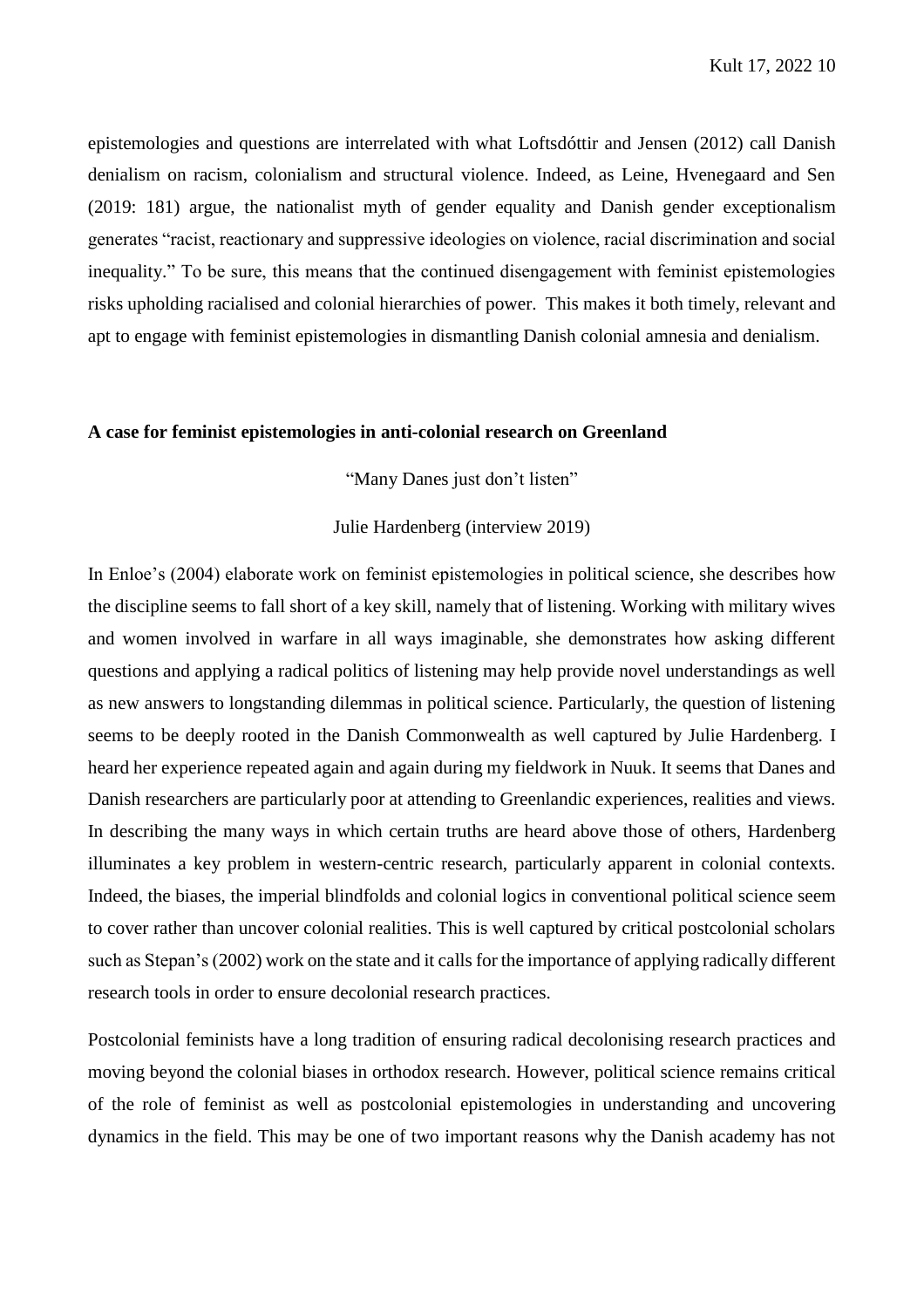epistemologies and questions are interrelated with what Loftsdóttir and Jensen (2012) call Danish denialism on racism, colonialism and structural violence. Indeed, as Leine, Hvenegaard and Sen (2019: 181) argue, the nationalist myth of gender equality and Danish gender exceptionalism generates "racist, reactionary and suppressive ideologies on violence, racial discrimination and social inequality." To be sure, this means that the continued disengagement with feminist epistemologies risks upholding racialised and colonial hierarchies of power. This makes it both timely, relevant and apt to engage with feminist epistemologies in dismantling Danish colonial amnesia and denialism.

#### **A case for feminist epistemologies in anti-colonial research on Greenland**

"Many Danes just don't listen"

Julie Hardenberg (interview 2019)

In Enloe's (2004) elaborate work on feminist epistemologies in political science, she describes how the discipline seems to fall short of a key skill, namely that of listening. Working with military wives and women involved in warfare in all ways imaginable, she demonstrates how asking different questions and applying a radical politics of listening may help provide novel understandings as well as new answers to longstanding dilemmas in political science. Particularly, the question of listening seems to be deeply rooted in the Danish Commonwealth as well captured by Julie Hardenberg. I heard her experience repeated again and again during my fieldwork in Nuuk. It seems that Danes and Danish researchers are particularly poor at attending to Greenlandic experiences, realities and views. In describing the many ways in which certain truths are heard above those of others, Hardenberg illuminates a key problem in western-centric research, particularly apparent in colonial contexts. Indeed, the biases, the imperial blindfolds and colonial logics in conventional political science seem to cover rather than uncover colonial realities. This is well captured by critical postcolonial scholars such as Stepan's (2002) work on the state and it calls for the importance of applying radically different research tools in order to ensure decolonial research practices.

Postcolonial feminists have a long tradition of ensuring radical decolonising research practices and moving beyond the colonial biases in orthodox research. However, political science remains critical of the role of feminist as well as postcolonial epistemologies in understanding and uncovering dynamics in the field. This may be one of two important reasons why the Danish academy has not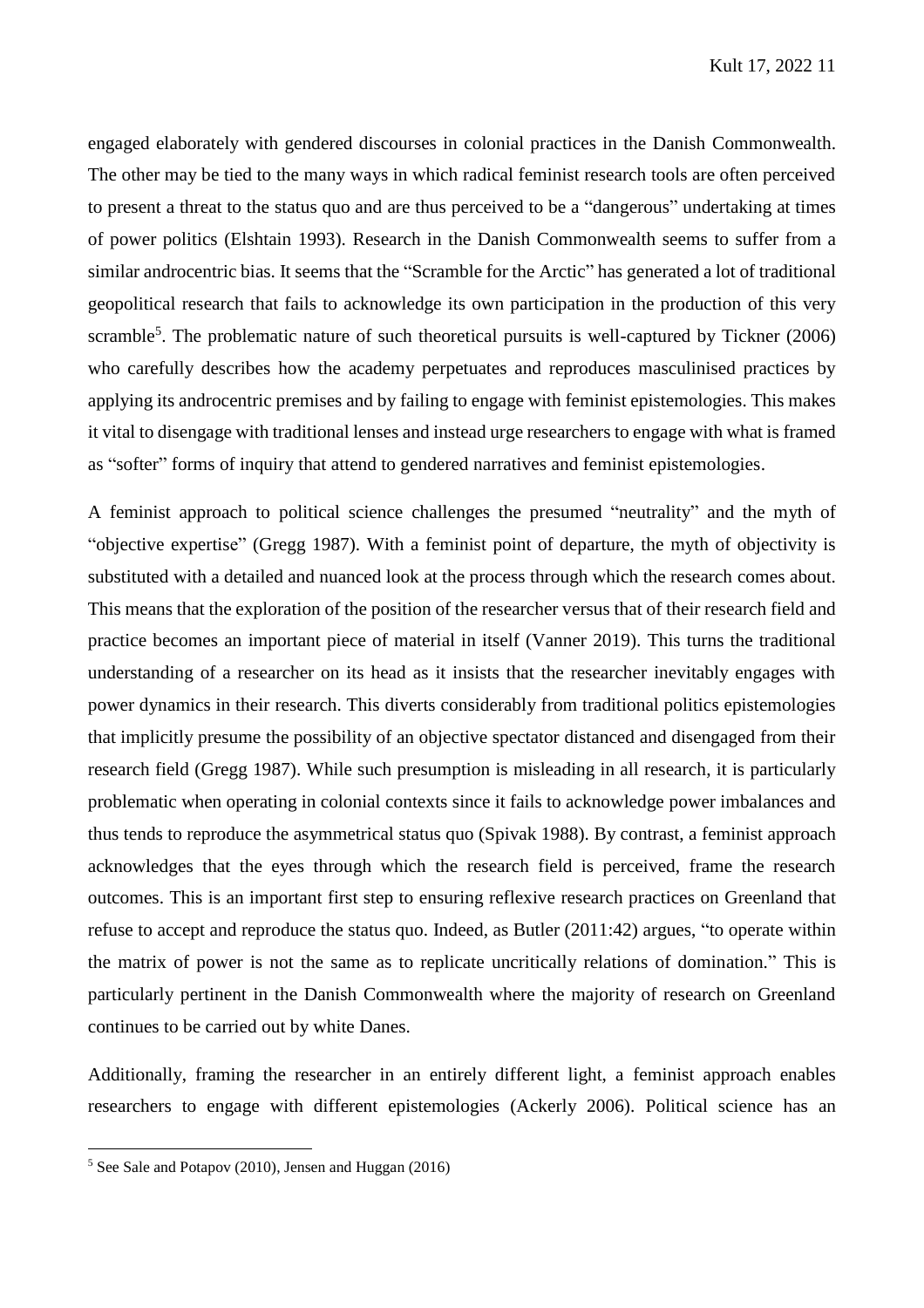engaged elaborately with gendered discourses in colonial practices in the Danish Commonwealth. The other may be tied to the many ways in which radical feminist research tools are often perceived to present a threat to the status quo and are thus perceived to be a "dangerous" undertaking at times of power politics (Elshtain 1993). Research in the Danish Commonwealth seems to suffer from a similar androcentric bias. It seems that the "Scramble for the Arctic" has generated a lot of traditional geopolitical research that fails to acknowledge its own participation in the production of this very scramble<sup>5</sup>. The problematic nature of such theoretical pursuits is well-captured by Tickner (2006) who carefully describes how the academy perpetuates and reproduces masculinised practices by applying its androcentric premises and by failing to engage with feminist epistemologies. This makes it vital to disengage with traditional lenses and instead urge researchers to engage with what is framed as "softer" forms of inquiry that attend to gendered narratives and feminist epistemologies.

A feminist approach to political science challenges the presumed "neutrality" and the myth of "objective expertise" (Gregg 1987). With a feminist point of departure, the myth of objectivity is substituted with a detailed and nuanced look at the process through which the research comes about. This means that the exploration of the position of the researcher versus that of their research field and practice becomes an important piece of material in itself (Vanner 2019). This turns the traditional understanding of a researcher on its head as it insists that the researcher inevitably engages with power dynamics in their research. This diverts considerably from traditional politics epistemologies that implicitly presume the possibility of an objective spectator distanced and disengaged from their research field (Gregg 1987). While such presumption is misleading in all research, it is particularly problematic when operating in colonial contexts since it fails to acknowledge power imbalances and thus tends to reproduce the asymmetrical status quo (Spivak 1988). By contrast, a feminist approach acknowledges that the eyes through which the research field is perceived, frame the research outcomes. This is an important first step to ensuring reflexive research practices on Greenland that refuse to accept and reproduce the status quo. Indeed, as Butler (2011:42) argues, "to operate within the matrix of power is not the same as to replicate uncritically relations of domination." This is particularly pertinent in the Danish Commonwealth where the majority of research on Greenland continues to be carried out by white Danes.

Additionally, framing the researcher in an entirely different light, a feminist approach enables researchers to engage with different epistemologies (Ackerly 2006). Political science has an

 $\overline{a}$ 

 $5$  See Sale and Potapov (2010), Jensen and Huggan (2016)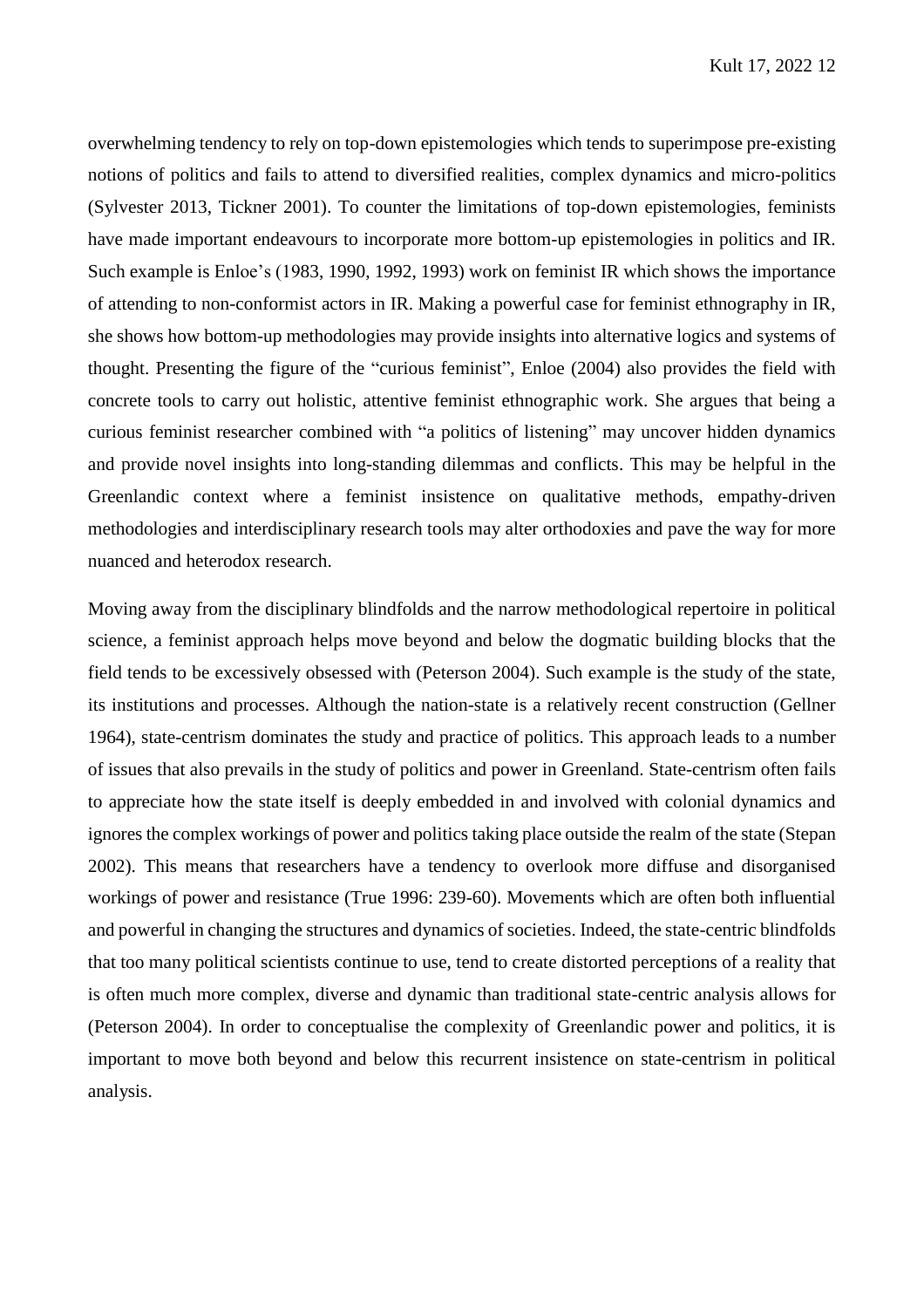overwhelming tendency to rely on top-down epistemologies which tends to superimpose pre-existing notions of politics and fails to attend to diversified realities, complex dynamics and micro-politics (Sylvester 2013, Tickner 2001). To counter the limitations of top-down epistemologies, feminists have made important endeavours to incorporate more bottom-up epistemologies in politics and IR. Such example is Enloe's (1983, 1990, 1992, 1993) work on feminist IR which shows the importance of attending to non-conformist actors in IR. Making a powerful case for feminist ethnography in IR, she shows how bottom-up methodologies may provide insights into alternative logics and systems of thought. Presenting the figure of the "curious feminist", Enloe (2004) also provides the field with concrete tools to carry out holistic, attentive feminist ethnographic work. She argues that being a curious feminist researcher combined with "a politics of listening" may uncover hidden dynamics and provide novel insights into long-standing dilemmas and conflicts. This may be helpful in the Greenlandic context where a feminist insistence on qualitative methods, empathy-driven methodologies and interdisciplinary research tools may alter orthodoxies and pave the way for more nuanced and heterodox research.

Moving away from the disciplinary blindfolds and the narrow methodological repertoire in political science, a feminist approach helps move beyond and below the dogmatic building blocks that the field tends to be excessively obsessed with (Peterson 2004). Such example is the study of the state, its institutions and processes. Although the nation-state is a relatively recent construction (Gellner 1964), state-centrism dominates the study and practice of politics. This approach leads to a number of issues that also prevails in the study of politics and power in Greenland. State-centrism often fails to appreciate how the state itself is deeply embedded in and involved with colonial dynamics and ignores the complex workings of power and politics taking place outside the realm of the state (Stepan 2002). This means that researchers have a tendency to overlook more diffuse and disorganised workings of power and resistance (True 1996: 239-60). Movements which are often both influential and powerful in changing the structures and dynamics of societies. Indeed, the state-centric blindfolds that too many political scientists continue to use, tend to create distorted perceptions of a reality that is often much more complex, diverse and dynamic than traditional state-centric analysis allows for (Peterson 2004). In order to conceptualise the complexity of Greenlandic power and politics, it is important to move both beyond and below this recurrent insistence on state-centrism in political analysis.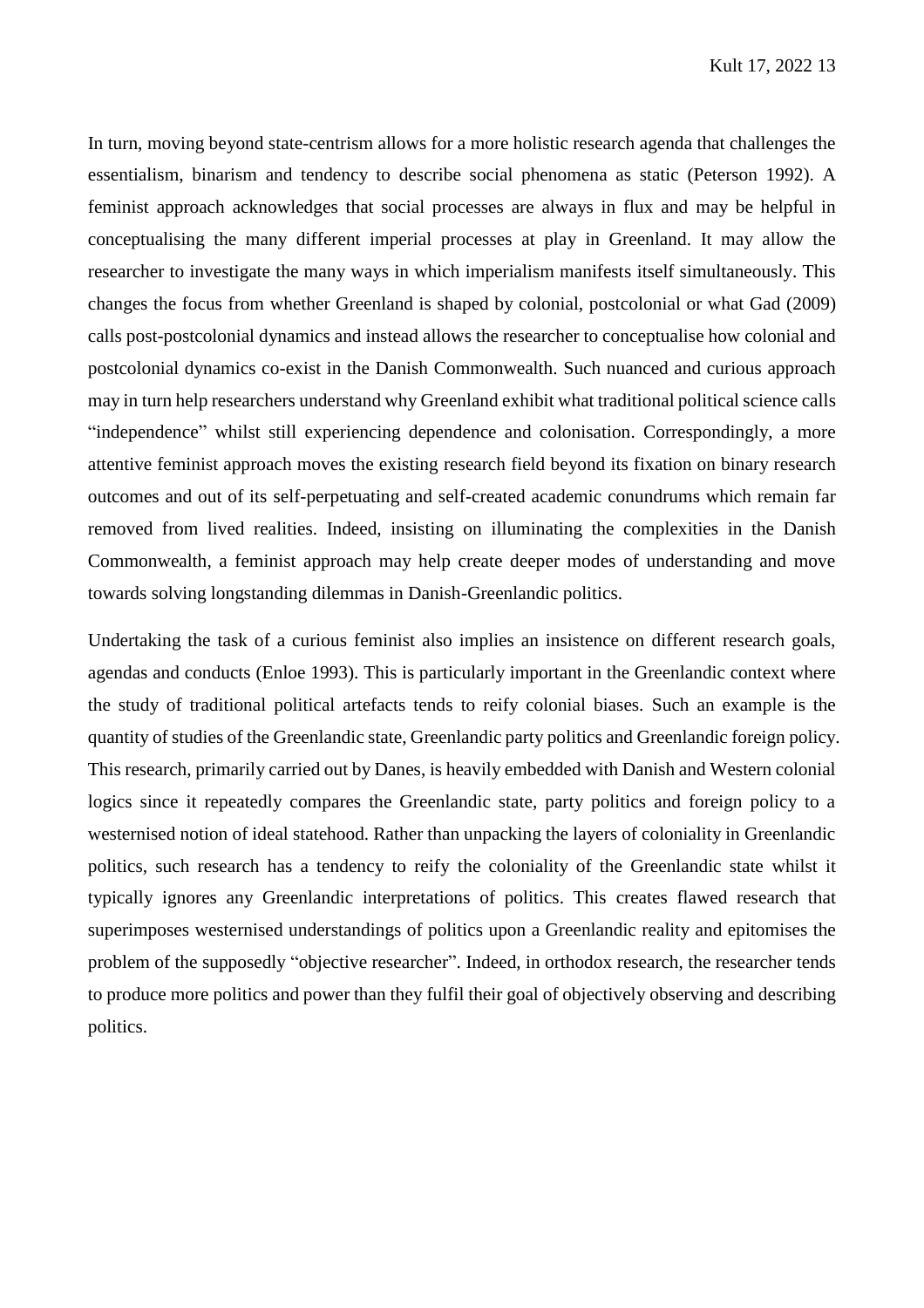In turn, moving beyond state-centrism allows for a more holistic research agenda that challenges the essentialism, binarism and tendency to describe social phenomena as static (Peterson 1992). A feminist approach acknowledges that social processes are always in flux and may be helpful in conceptualising the many different imperial processes at play in Greenland. It may allow the researcher to investigate the many ways in which imperialism manifests itself simultaneously. This changes the focus from whether Greenland is shaped by colonial, postcolonial or what Gad (2009) calls post-postcolonial dynamics and instead allows the researcher to conceptualise how colonial and postcolonial dynamics co-exist in the Danish Commonwealth. Such nuanced and curious approach may in turn help researchers understand why Greenland exhibit what traditional political science calls "independence" whilst still experiencing dependence and colonisation. Correspondingly, a more attentive feminist approach moves the existing research field beyond its fixation on binary research outcomes and out of its self-perpetuating and self-created academic conundrums which remain far removed from lived realities. Indeed, insisting on illuminating the complexities in the Danish Commonwealth, a feminist approach may help create deeper modes of understanding and move towards solving longstanding dilemmas in Danish-Greenlandic politics.

Undertaking the task of a curious feminist also implies an insistence on different research goals, agendas and conducts (Enloe 1993). This is particularly important in the Greenlandic context where the study of traditional political artefacts tends to reify colonial biases. Such an example is the quantity of studies of the Greenlandic state, Greenlandic party politics and Greenlandic foreign policy. This research, primarily carried out by Danes, is heavily embedded with Danish and Western colonial logics since it repeatedly compares the Greenlandic state, party politics and foreign policy to a westernised notion of ideal statehood. Rather than unpacking the layers of coloniality in Greenlandic politics, such research has a tendency to reify the coloniality of the Greenlandic state whilst it typically ignores any Greenlandic interpretations of politics. This creates flawed research that superimposes westernised understandings of politics upon a Greenlandic reality and epitomises the problem of the supposedly "objective researcher". Indeed, in orthodox research, the researcher tends to produce more politics and power than they fulfil their goal of objectively observing and describing politics.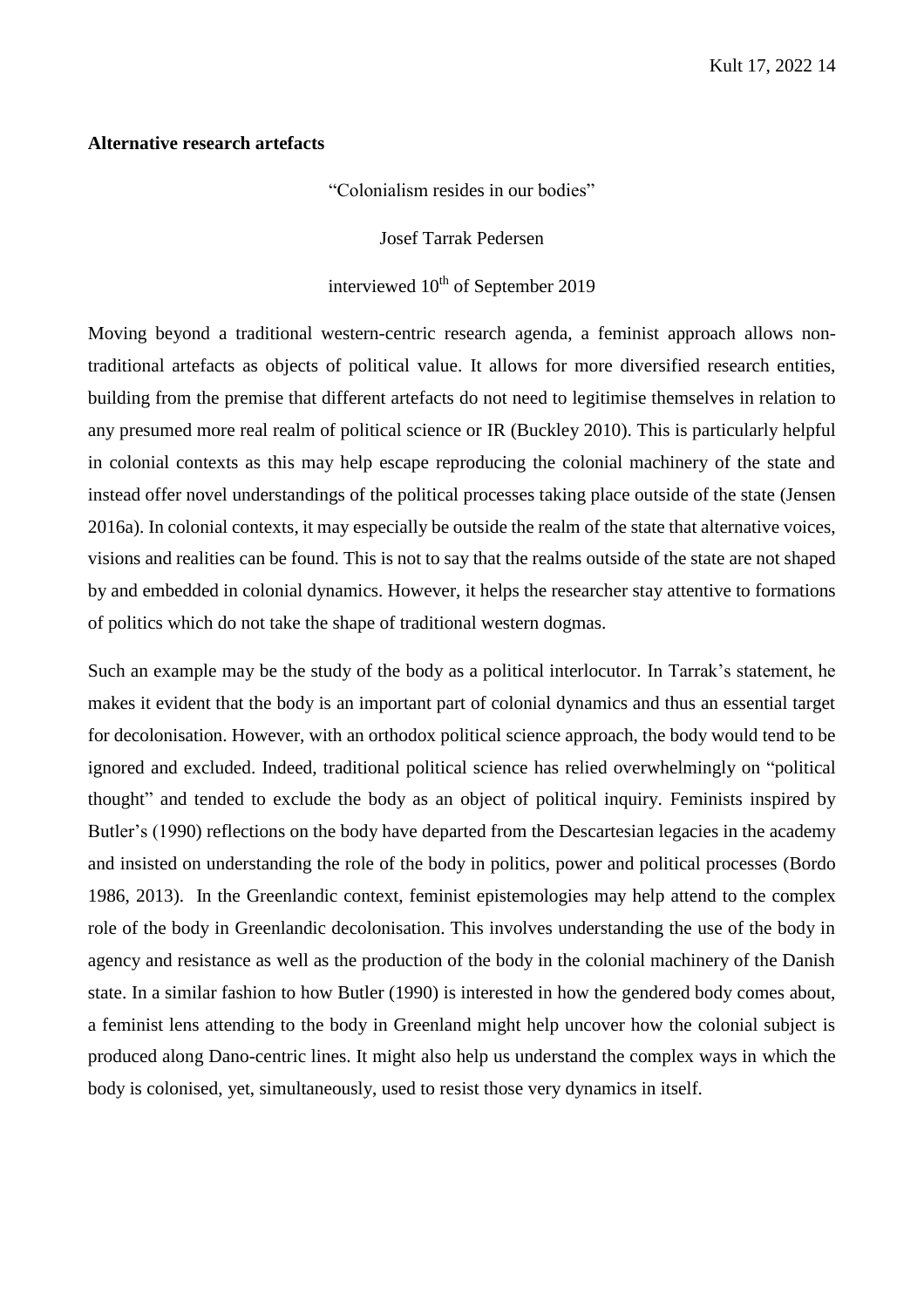#### **Alternative research artefacts**

"Colonialism resides in our bodies"

Josef Tarrak Pedersen

# interviewed  $10^{th}$  of September 2019

Moving beyond a traditional western-centric research agenda, a feminist approach allows nontraditional artefacts as objects of political value. It allows for more diversified research entities, building from the premise that different artefacts do not need to legitimise themselves in relation to any presumed more real realm of political science or IR (Buckley 2010). This is particularly helpful in colonial contexts as this may help escape reproducing the colonial machinery of the state and instead offer novel understandings of the political processes taking place outside of the state (Jensen 2016a). In colonial contexts, it may especially be outside the realm of the state that alternative voices, visions and realities can be found. This is not to say that the realms outside of the state are not shaped by and embedded in colonial dynamics. However, it helps the researcher stay attentive to formations of politics which do not take the shape of traditional western dogmas.

Such an example may be the study of the body as a political interlocutor. In Tarrak's statement, he makes it evident that the body is an important part of colonial dynamics and thus an essential target for decolonisation. However, with an orthodox political science approach, the body would tend to be ignored and excluded. Indeed, traditional political science has relied overwhelmingly on "political thought" and tended to exclude the body as an object of political inquiry. Feminists inspired by Butler's (1990) reflections on the body have departed from the Descartesian legacies in the academy and insisted on understanding the role of the body in politics, power and political processes (Bordo 1986, 2013). In the Greenlandic context, feminist epistemologies may help attend to the complex role of the body in Greenlandic decolonisation. This involves understanding the use of the body in agency and resistance as well as the production of the body in the colonial machinery of the Danish state. In a similar fashion to how Butler (1990) is interested in how the gendered body comes about, a feminist lens attending to the body in Greenland might help uncover how the colonial subject is produced along Dano-centric lines. It might also help us understand the complex ways in which the body is colonised, yet, simultaneously, used to resist those very dynamics in itself.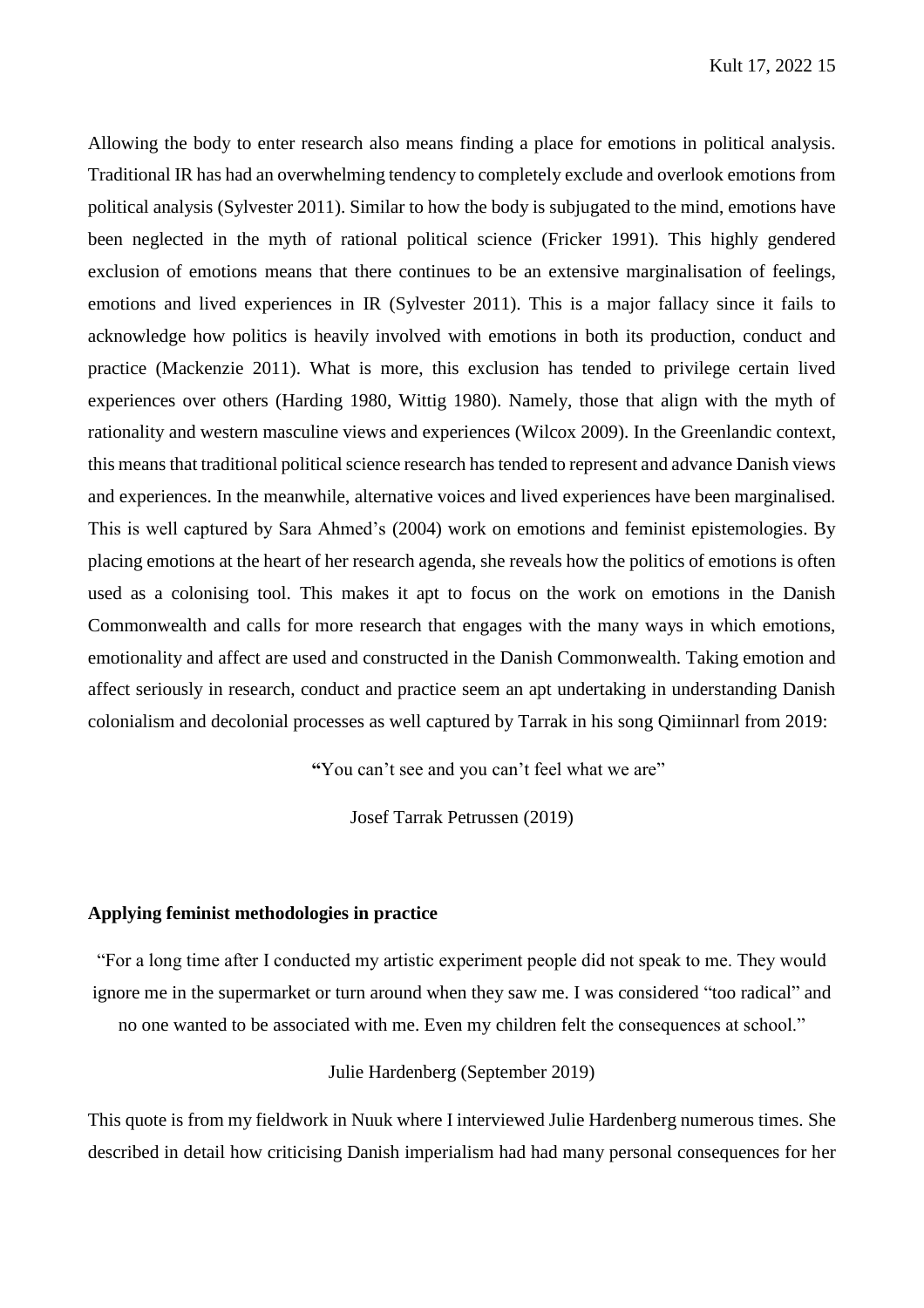Allowing the body to enter research also means finding a place for emotions in political analysis. Traditional IR has had an overwhelming tendency to completely exclude and overlook emotions from political analysis (Sylvester 2011). Similar to how the body is subjugated to the mind, emotions have been neglected in the myth of rational political science (Fricker 1991). This highly gendered exclusion of emotions means that there continues to be an extensive marginalisation of feelings, emotions and lived experiences in IR (Sylvester 2011). This is a major fallacy since it fails to acknowledge how politics is heavily involved with emotions in both its production, conduct and practice (Mackenzie 2011). What is more, this exclusion has tended to privilege certain lived experiences over others (Harding 1980, Wittig 1980). Namely, those that align with the myth of rationality and western masculine views and experiences (Wilcox 2009). In the Greenlandic context, this means that traditional political science research hastended to represent and advance Danish views and experiences. In the meanwhile, alternative voices and lived experiences have been marginalised. This is well captured by Sara Ahmed's (2004) work on emotions and feminist epistemologies. By placing emotions at the heart of her research agenda, she reveals how the politics of emotions is often used as a colonising tool. This makes it apt to focus on the work on emotions in the Danish Commonwealth and calls for more research that engages with the many ways in which emotions, emotionality and affect are used and constructed in the Danish Commonwealth. Taking emotion and affect seriously in research, conduct and practice seem an apt undertaking in understanding Danish colonialism and decolonial processes as well captured by Tarrak in his song Qimiinnarl from 2019:

**"**You can't see and you can't feel what we are"

Josef Tarrak Petrussen (2019)

# **Applying feminist methodologies in practice**

"For a long time after I conducted my artistic experiment people did not speak to me. They would ignore me in the supermarket or turn around when they saw me. I was considered "too radical" and no one wanted to be associated with me. Even my children felt the consequences at school."

Julie Hardenberg (September 2019)

This quote is from my fieldwork in Nuuk where I interviewed Julie Hardenberg numerous times. She described in detail how criticising Danish imperialism had had many personal consequences for her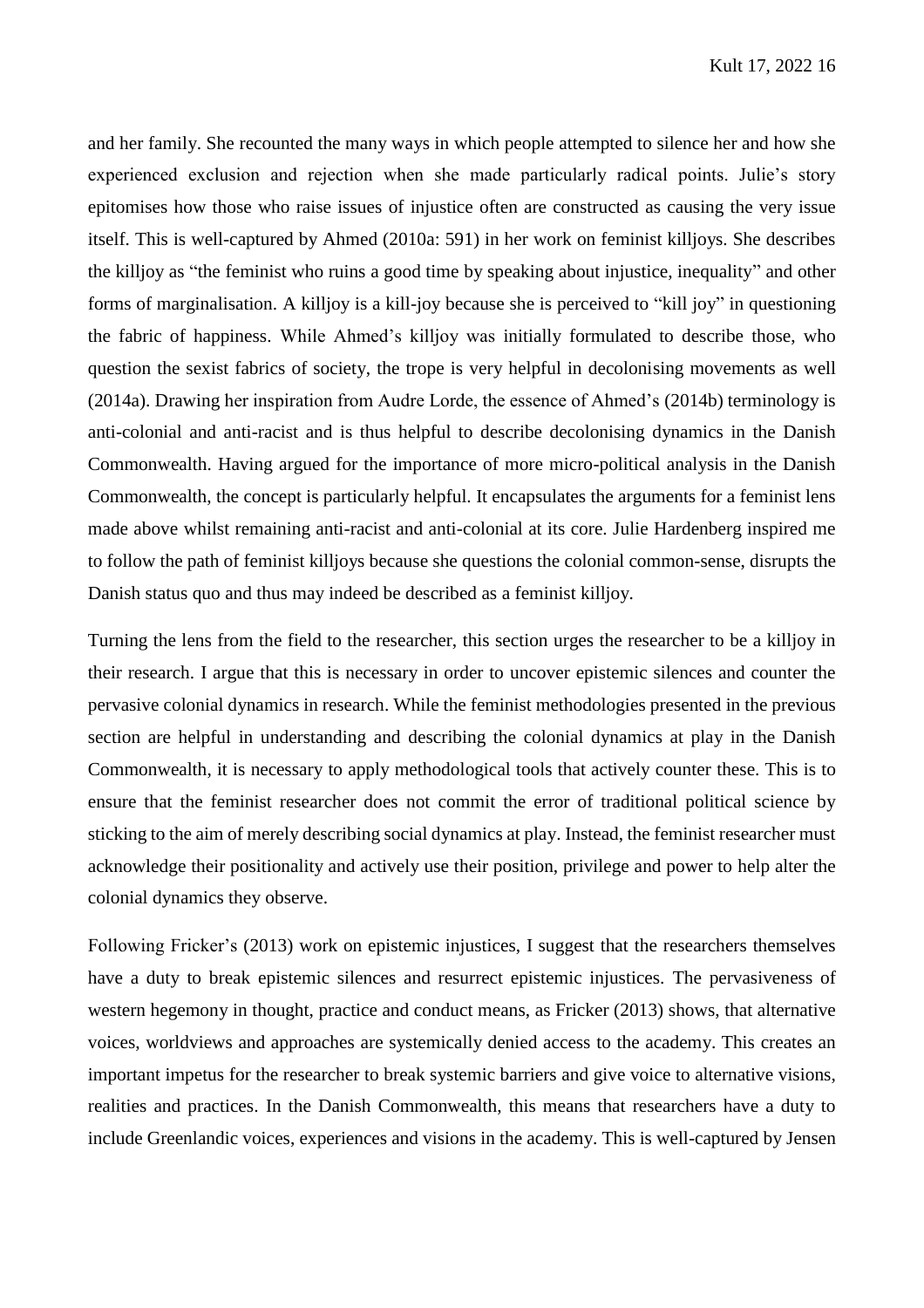and her family. She recounted the many ways in which people attempted to silence her and how she experienced exclusion and rejection when she made particularly radical points. Julie's story epitomises how those who raise issues of injustice often are constructed as causing the very issue itself. This is well-captured by Ahmed (2010a: 591) in her work on feminist killjoys. She describes the killjoy as "the feminist who ruins a good time by speaking about injustice, inequality" and other forms of marginalisation. A killjoy is a kill-joy because she is perceived to "kill joy" in questioning the fabric of happiness. While Ahmed's killjoy was initially formulated to describe those, who question the sexist fabrics of society, the trope is very helpful in decolonising movements as well (2014a). Drawing her inspiration from Audre Lorde, the essence of Ahmed's (2014b) terminology is anti-colonial and anti-racist and is thus helpful to describe decolonising dynamics in the Danish Commonwealth. Having argued for the importance of more micro-political analysis in the Danish Commonwealth, the concept is particularly helpful. It encapsulates the arguments for a feminist lens made above whilst remaining anti-racist and anti-colonial at its core. Julie Hardenberg inspired me to follow the path of feminist killjoys because she questions the colonial common-sense, disrupts the Danish status quo and thus may indeed be described as a feminist killjoy.

Turning the lens from the field to the researcher, this section urges the researcher to be a killjoy in their research. I argue that this is necessary in order to uncover epistemic silences and counter the pervasive colonial dynamics in research. While the feminist methodologies presented in the previous section are helpful in understanding and describing the colonial dynamics at play in the Danish Commonwealth, it is necessary to apply methodological tools that actively counter these. This is to ensure that the feminist researcher does not commit the error of traditional political science by sticking to the aim of merely describing social dynamics at play. Instead, the feminist researcher must acknowledge their positionality and actively use their position, privilege and power to help alter the colonial dynamics they observe.

Following Fricker's (2013) work on epistemic injustices, I suggest that the researchers themselves have a duty to break epistemic silences and resurrect epistemic injustices. The pervasiveness of western hegemony in thought, practice and conduct means, as Fricker (2013) shows, that alternative voices, worldviews and approaches are systemically denied access to the academy. This creates an important impetus for the researcher to break systemic barriers and give voice to alternative visions, realities and practices. In the Danish Commonwealth, this means that researchers have a duty to include Greenlandic voices, experiences and visions in the academy. This is well-captured by Jensen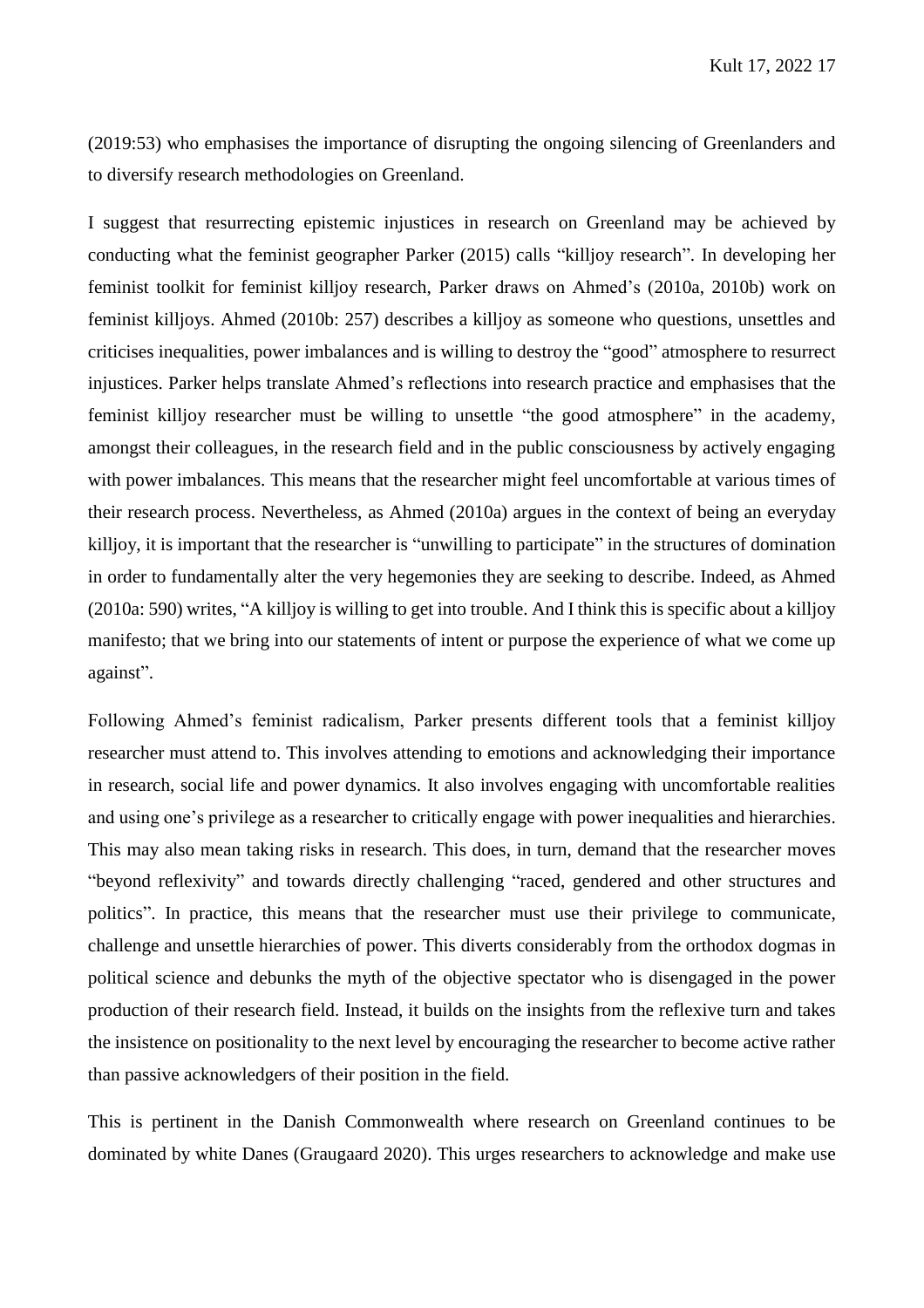(2019:53) who emphasises the importance of disrupting the ongoing silencing of Greenlanders and to diversify research methodologies on Greenland.

I suggest that resurrecting epistemic injustices in research on Greenland may be achieved by conducting what the feminist geographer Parker (2015) calls "killjoy research". In developing her feminist toolkit for feminist killjoy research, Parker draws on Ahmed's (2010a, 2010b) work on feminist killjoys. Ahmed (2010b: 257) describes a killjoy as someone who questions, unsettles and criticises inequalities, power imbalances and is willing to destroy the "good" atmosphere to resurrect injustices. Parker helps translate Ahmed's reflections into research practice and emphasises that the feminist killjoy researcher must be willing to unsettle "the good atmosphere" in the academy, amongst their colleagues, in the research field and in the public consciousness by actively engaging with power imbalances. This means that the researcher might feel uncomfortable at various times of their research process. Nevertheless, as Ahmed (2010a) argues in the context of being an everyday killjoy, it is important that the researcher is "unwilling to participate" in the structures of domination in order to fundamentally alter the very hegemonies they are seeking to describe. Indeed, as Ahmed (2010a: 590) writes, "A killjoy is willing to get into trouble. And I think this is specific about a killjoy manifesto; that we bring into our statements of intent or purpose the experience of what we come up against".

Following Ahmed's feminist radicalism, Parker presents different tools that a feminist killjoy researcher must attend to. This involves attending to emotions and acknowledging their importance in research, social life and power dynamics. It also involves engaging with uncomfortable realities and using one's privilege as a researcher to critically engage with power inequalities and hierarchies. This may also mean taking risks in research. This does, in turn, demand that the researcher moves "beyond reflexivity" and towards directly challenging "raced, gendered and other structures and politics". In practice, this means that the researcher must use their privilege to communicate, challenge and unsettle hierarchies of power. This diverts considerably from the orthodox dogmas in political science and debunks the myth of the objective spectator who is disengaged in the power production of their research field. Instead, it builds on the insights from the reflexive turn and takes the insistence on positionality to the next level by encouraging the researcher to become active rather than passive acknowledgers of their position in the field.

This is pertinent in the Danish Commonwealth where research on Greenland continues to be dominated by white Danes (Graugaard 2020). This urges researchers to acknowledge and make use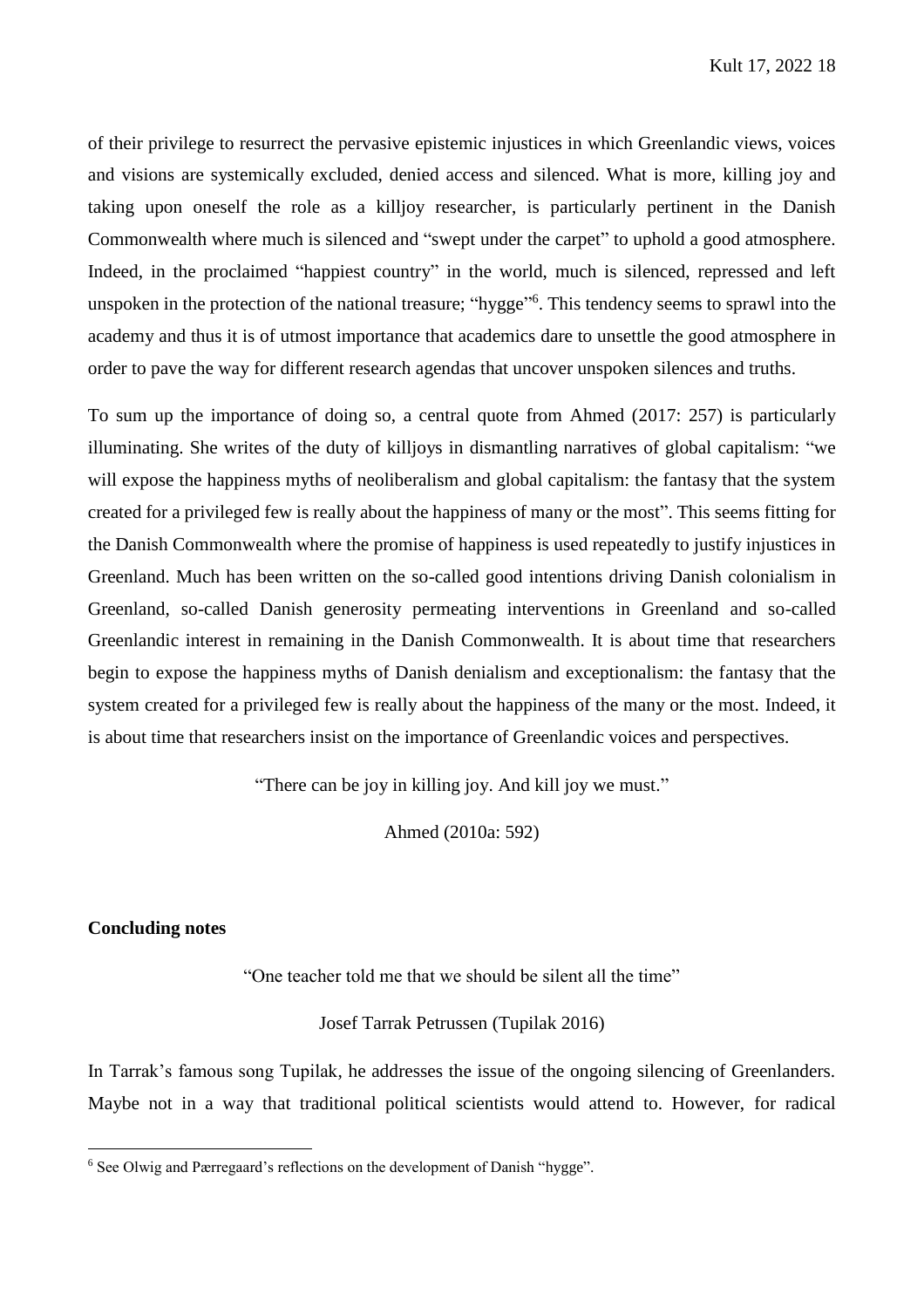of their privilege to resurrect the pervasive epistemic injustices in which Greenlandic views, voices and visions are systemically excluded, denied access and silenced. What is more, killing joy and taking upon oneself the role as a killjoy researcher, is particularly pertinent in the Danish Commonwealth where much is silenced and "swept under the carpet" to uphold a good atmosphere. Indeed, in the proclaimed "happiest country" in the world, much is silenced, repressed and left unspoken in the protection of the national treasure; "hygge"<sup>6</sup>. This tendency seems to sprawl into the academy and thus it is of utmost importance that academics dare to unsettle the good atmosphere in order to pave the way for different research agendas that uncover unspoken silences and truths.

To sum up the importance of doing so, a central quote from Ahmed (2017: 257) is particularly illuminating. She writes of the duty of killjoys in dismantling narratives of global capitalism: "we will expose the happiness myths of neoliberalism and global capitalism: the fantasy that the system created for a privileged few is really about the happiness of many or the most". This seems fitting for the Danish Commonwealth where the promise of happiness is used repeatedly to justify injustices in Greenland. Much has been written on the so-called good intentions driving Danish colonialism in Greenland, so-called Danish generosity permeating interventions in Greenland and so-called Greenlandic interest in remaining in the Danish Commonwealth. It is about time that researchers begin to expose the happiness myths of Danish denialism and exceptionalism: the fantasy that the system created for a privileged few is really about the happiness of the many or the most. Indeed, it is about time that researchers insist on the importance of Greenlandic voices and perspectives.

"There can be joy in killing joy. And kill joy we must."

Ahmed (2010a: 592)

# **Concluding notes**

 $\overline{a}$ 

"One teacher told me that we should be silent all the time"

Josef Tarrak Petrussen (Tupilak 2016)

In Tarrak's famous song Tupilak, he addresses the issue of the ongoing silencing of Greenlanders. Maybe not in a way that traditional political scientists would attend to. However, for radical

<sup>6</sup> See Olwig and Pærregaard's reflections on the development of Danish "hygge".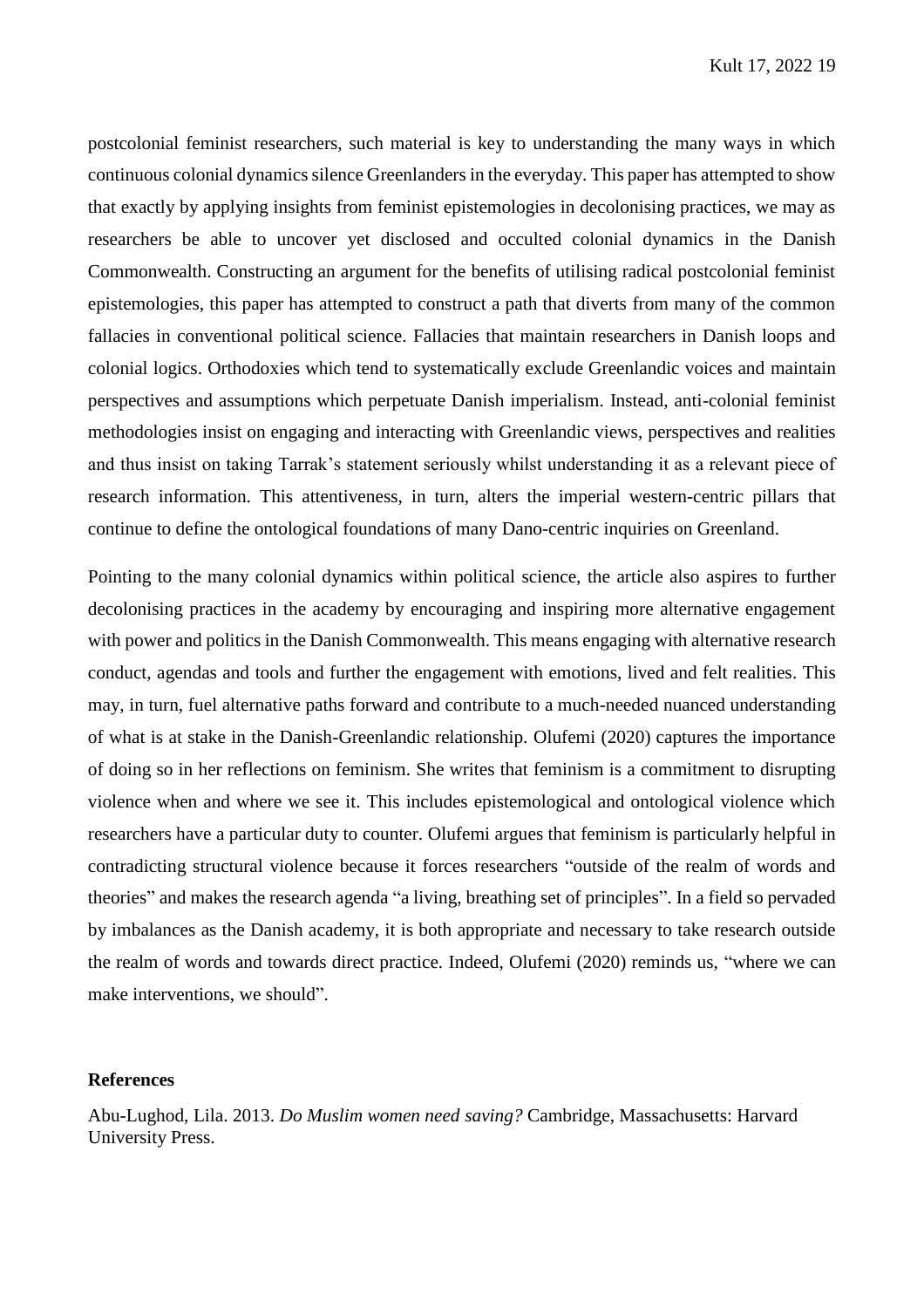postcolonial feminist researchers, such material is key to understanding the many ways in which continuous colonial dynamics silence Greenlanders in the everyday. This paper has attempted to show that exactly by applying insights from feminist epistemologies in decolonising practices, we may as researchers be able to uncover yet disclosed and occulted colonial dynamics in the Danish Commonwealth. Constructing an argument for the benefits of utilising radical postcolonial feminist epistemologies, this paper has attempted to construct a path that diverts from many of the common fallacies in conventional political science. Fallacies that maintain researchers in Danish loops and colonial logics. Orthodoxies which tend to systematically exclude Greenlandic voices and maintain perspectives and assumptions which perpetuate Danish imperialism. Instead, anti-colonial feminist methodologies insist on engaging and interacting with Greenlandic views, perspectives and realities and thus insist on taking Tarrak's statement seriously whilst understanding it as a relevant piece of research information. This attentiveness, in turn, alters the imperial western-centric pillars that continue to define the ontological foundations of many Dano-centric inquiries on Greenland.

Pointing to the many colonial dynamics within political science, the article also aspires to further decolonising practices in the academy by encouraging and inspiring more alternative engagement with power and politics in the Danish Commonwealth. This means engaging with alternative research conduct, agendas and tools and further the engagement with emotions, lived and felt realities. This may, in turn, fuel alternative paths forward and contribute to a much-needed nuanced understanding of what is at stake in the Danish-Greenlandic relationship. Olufemi (2020) captures the importance of doing so in her reflections on feminism. She writes that feminism is a commitment to disrupting violence when and where we see it. This includes epistemological and ontological violence which researchers have a particular duty to counter. Olufemi argues that feminism is particularly helpful in contradicting structural violence because it forces researchers "outside of the realm of words and theories" and makes the research agenda "a living, breathing set of principles". In a field so pervaded by imbalances as the Danish academy, it is both appropriate and necessary to take research outside the realm of words and towards direct practice. Indeed, Olufemi (2020) reminds us, "where we can make interventions, we should".

# **References**

Abu-Lughod, Lila. 2013. *Do Muslim women need saving?* Cambridge, Massachusetts: Harvard University Press.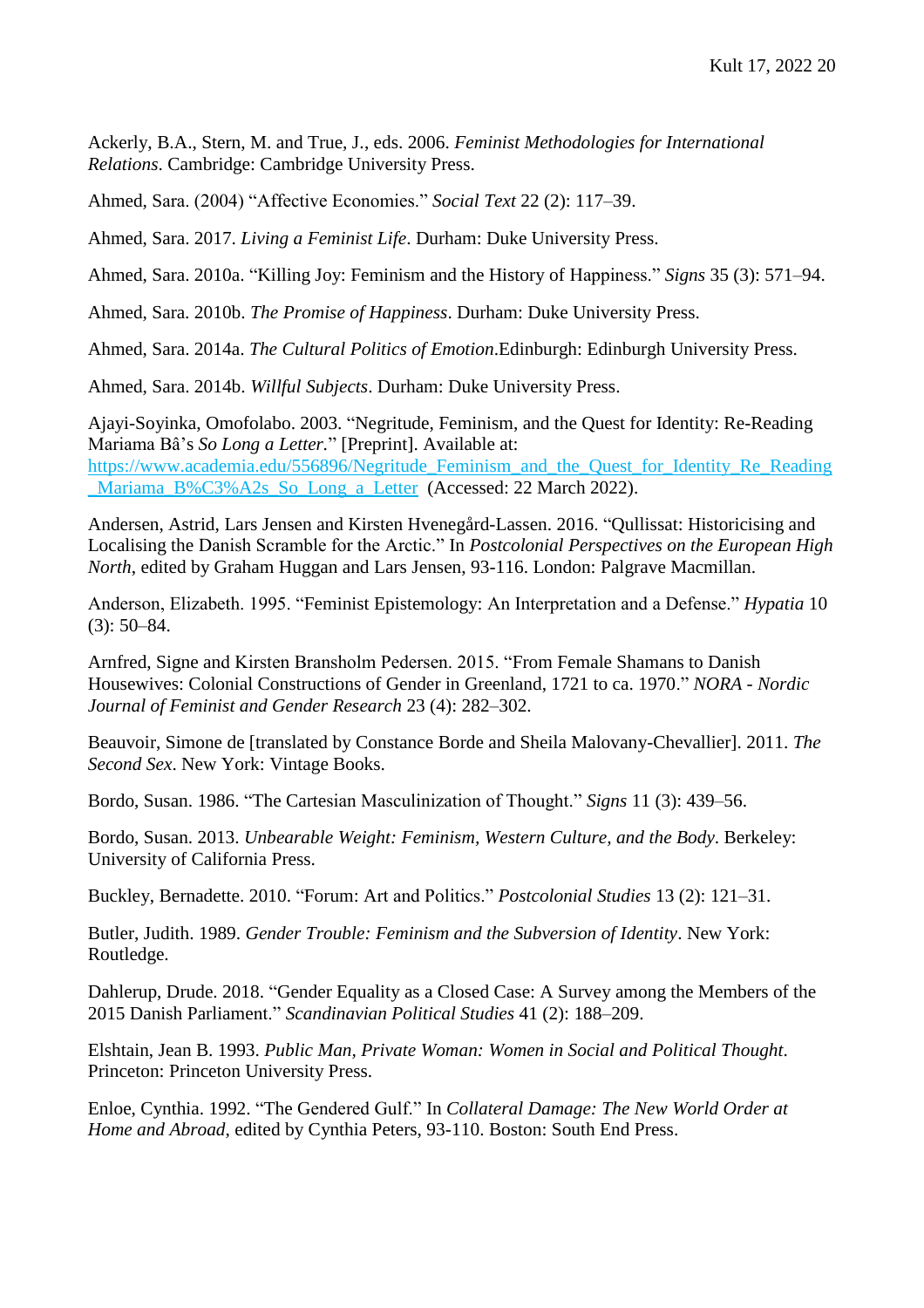Ackerly, B.A., Stern, M. and True, J., eds. 2006. *Feminist Methodologies for International Relations*. Cambridge: Cambridge University Press.

Ahmed, Sara. (2004) "Affective Economies." *Social Text* 22 (2): 117–39.

Ahmed, Sara. 2017. *Living a Feminist Life*. Durham: Duke University Press.

Ahmed, Sara. 2010a. "Killing Joy: Feminism and the History of Happiness." *Signs* 35 (3): 571–94.

Ahmed, Sara. 2010b. *The Promise of Happiness*. Durham: Duke University Press.

Ahmed, Sara. 2014a. *The Cultural Politics of Emotion*.Edinburgh: Edinburgh University Press.

Ahmed, Sara. 2014b. *Willful Subjects*. Durham: Duke University Press.

Ajayi-Soyinka, Omofolabo. 2003. "Negritude, Feminism, and the Quest for Identity: Re-Reading Mariama Bâ's *So Long a Letter.*" [Preprint]. Available at: [https://www.academia.edu/556896/Negritude\\_Feminism\\_and\\_the\\_Quest\\_for\\_Identity\\_Re\\_Reading](https://www.academia.edu/556896/Negritude_Feminism_and_the_Quest_for_Identity_Re_Reading_Mariama_B%C3%A2s_So_Long_a_Letter) Mariama\_B%C3%A2s\_So\_Long\_a\_Letter (Accessed: 22 March 2022).

Andersen, Astrid, Lars Jensen and Kirsten Hvenegård-Lassen. 2016. "Qullissat: Historicising and Localising the Danish Scramble for the Arctic." In *Postcolonial Perspectives on the European High North*, edited by Graham Huggan and Lars Jensen, 93-116. London: Palgrave Macmillan.

Anderson, Elizabeth. 1995. "Feminist Epistemology: An Interpretation and a Defense." *Hypatia* 10 (3): 50–84.

Arnfred, Signe and Kirsten Bransholm Pedersen. 2015. "From Female Shamans to Danish Housewives: Colonial Constructions of Gender in Greenland, 1721 to ca. 1970." *NORA - Nordic Journal of Feminist and Gender Research* 23 (4): 282–302.

Beauvoir, Simone de [translated by Constance Borde and Sheila Malovany-Chevallier]. 2011. *The Second Sex*. New York: Vintage Books.

Bordo, Susan. 1986. "The Cartesian Masculinization of Thought." *Signs* 11 (3): 439–56.

Bordo, Susan. 2013. *Unbearable Weight: Feminism, Western Culture, and the Body*. Berkeley: University of California Press.

Buckley, Bernadette. 2010. "Forum: Art and Politics." *Postcolonial Studies* 13 (2): 121–31.

Butler, Judith. 1989. *Gender Trouble: Feminism and the Subversion of Identity*. New York: Routledge.

Dahlerup, Drude. 2018. "Gender Equality as a Closed Case: A Survey among the Members of the 2015 Danish Parliament." *Scandinavian Political Studies* 41 (2): 188–209.

Elshtain, Jean B. 1993. *Public Man, Private Woman: Women in Social and Political Thought*. Princeton: Princeton University Press.

Enloe, Cynthia. 1992. "The Gendered Gulf." In *Collateral Damage: The New World Order at Home and Abroad*, edited by Cynthia Peters, 93-110. Boston: South End Press.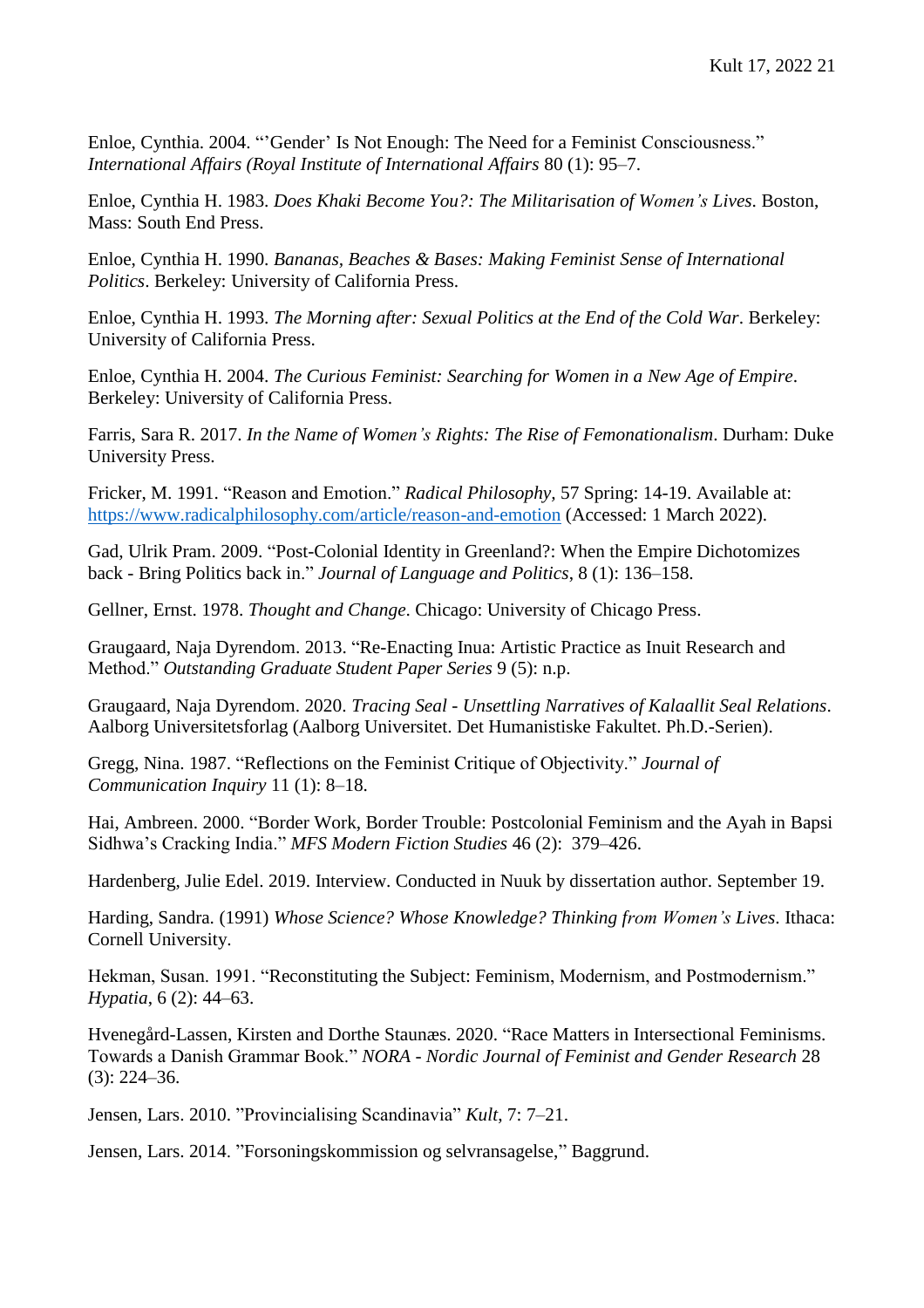Enloe, Cynthia. 2004. "'Gender' Is Not Enough: The Need for a Feminist Consciousness." *International Affairs (Royal Institute of International Affairs* 80 (1): 95–7.

Enloe, Cynthia H. 1983. *Does Khaki Become You?: The Militarisation of Women's Lives*. Boston, Mass: South End Press.

Enloe, Cynthia H. 1990. *Bananas, Beaches & Bases: Making Feminist Sense of International Politics*. Berkeley: University of California Press.

Enloe, Cynthia H. 1993. *The Morning after: Sexual Politics at the End of the Cold War*. Berkeley: University of California Press.

Enloe, Cynthia H. 2004. *The Curious Feminist: Searching for Women in a New Age of Empire*. Berkeley: University of California Press.

Farris, Sara R. 2017. *In the Name of Women's Rights: The Rise of Femonationalism*. Durham: Duke University Press.

Fricker, M. 1991. "Reason and Emotion." *Radical Philosophy,* 57 Spring: 14-19. Available at: <https://www.radicalphilosophy.com/article/reason-and-emotion> (Accessed: 1 March 2022).

Gad, Ulrik Pram. 2009. "Post-Colonial Identity in Greenland?: When the Empire Dichotomizes back - Bring Politics back in." *Journal of Language and Politics*, 8 (1): 136–158.

Gellner, Ernst. 1978. *Thought and Change*. Chicago: University of Chicago Press.

Graugaard, Naja Dyrendom. 2013. "Re-Enacting Inua: Artistic Practice as Inuit Research and Method." *Outstanding Graduate Student Paper Series* 9 (5): n.p.

Graugaard, Naja Dyrendom. 2020. *Tracing Seal - Unsettling Narratives of Kalaallit Seal Relations*. Aalborg Universitetsforlag (Aalborg Universitet. Det Humanistiske Fakultet. Ph.D.-Serien).

Gregg, Nina. 1987. "Reflections on the Feminist Critique of Objectivity." *Journal of Communication Inquiry* 11 (1): 8–18.

Hai, Ambreen. 2000. "Border Work, Border Trouble: Postcolonial Feminism and the Ayah in Bapsi Sidhwa's Cracking India." *MFS Modern Fiction Studies* 46 (2): 379–426.

Hardenberg, Julie Edel. 2019. Interview. Conducted in Nuuk by dissertation author. September 19.

Harding, Sandra. (1991) *Whose Science? Whose Knowledge? Thinking from Women's Lives*. Ithaca: Cornell University.

Hekman, Susan. 1991. "Reconstituting the Subject: Feminism, Modernism, and Postmodernism." *Hypatia*, 6 (2): 44–63.

Hvenegård-Lassen, Kirsten and Dorthe Staunæs. 2020. "Race Matters in Intersectional Feminisms. Towards a Danish Grammar Book." *NORA - Nordic Journal of Feminist and Gender Research* 28 (3): 224–36.

Jensen, Lars. 2010. "Provincialising Scandinavia" *Kult*, 7: 7–21.

Jensen, Lars. 2014. "Forsoningskommission og selvransagelse," Baggrund.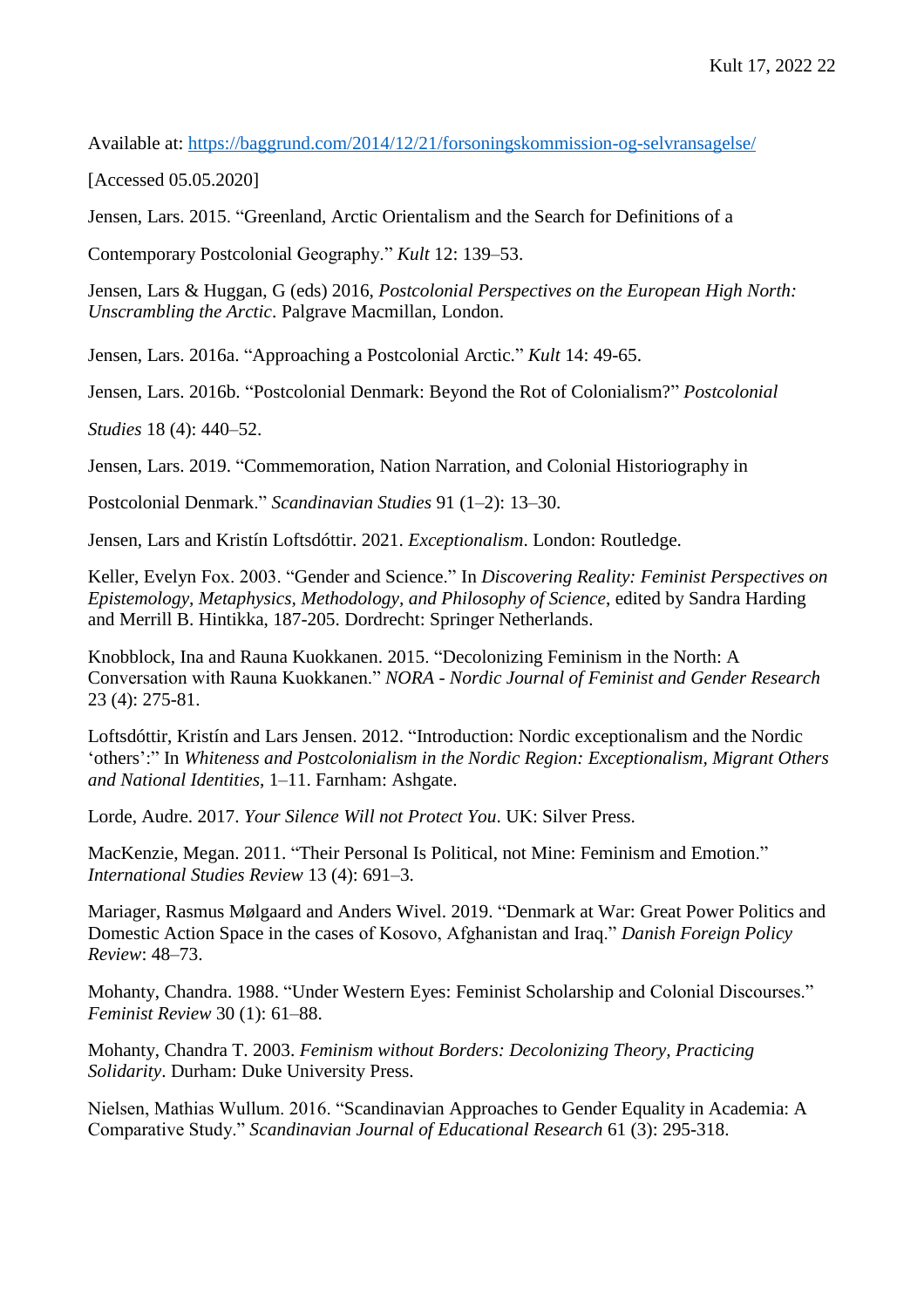Available at:<https://baggrund.com/2014/12/21/forsoningskommission-og-selvransagelse/>

[Accessed 05.05.2020]

Jensen, Lars. 2015. "Greenland, Arctic Orientalism and the Search for Definitions of a

Contemporary Postcolonial Geography." *Kult* 12: 139–53.

Jensen, Lars & Huggan, G (eds) 2016, *Postcolonial Perspectives on the European High North: Unscrambling the Arctic*. Palgrave Macmillan, London.

Jensen, Lars. 2016a. "Approaching a Postcolonial Arctic." *Kult* 14: 49-65.

Jensen, Lars. 2016b. "Postcolonial Denmark: Beyond the Rot of Colonialism?" *Postcolonial*

*Studies* 18 (4): 440–52.

Jensen, Lars. 2019. "Commemoration, Nation Narration, and Colonial Historiography in

Postcolonial Denmark." *Scandinavian Studies* 91 (1–2): 13–30.

Jensen, Lars and Kristín Loftsdóttir. 2021. *Exceptionalism*. London: Routledge.

Keller, Evelyn Fox. 2003. "Gender and Science." In *Discovering Reality: Feminist Perspectives on Epistemology, Metaphysics, Methodology, and Philosophy of Science*, edited by Sandra Harding and Merrill B. Hintikka, 187-205. Dordrecht: Springer Netherlands.

Knobblock, Ina and Rauna Kuokkanen. 2015. "Decolonizing Feminism in the North: A Conversation with Rauna Kuokkanen." *NORA - Nordic Journal of Feminist and Gender Research* 23 (4): 275-81.

Loftsdóttir, Kristín and Lars Jensen. 2012. "Introduction: Nordic exceptionalism and the Nordic 'others':" In *Whiteness and Postcolonialism in the Nordic Region: Exceptionalism, Migrant Others and National Identities*, 1–11. Farnham: Ashgate.

Lorde, Audre. 2017. *Your Silence Will not Protect You*. UK: Silver Press.

MacKenzie, Megan. 2011. "Their Personal Is Political, not Mine: Feminism and Emotion." *International Studies Review* 13 (4): 691–3.

Mariager, Rasmus Mølgaard and Anders Wivel. 2019. "Denmark at War: Great Power Politics and Domestic Action Space in the cases of Kosovo, Afghanistan and Iraq." *Danish Foreign Policy Review*: 48–73.

Mohanty, Chandra. 1988. "Under Western Eyes: Feminist Scholarship and Colonial Discourses." *Feminist Review* 30 (1): 61–88.

Mohanty, Chandra T. 2003. *Feminism without Borders: Decolonizing Theory, Practicing Solidarity*. Durham: Duke University Press.

Nielsen, Mathias Wullum. 2016. "Scandinavian Approaches to Gender Equality in Academia: A Comparative Study." *Scandinavian Journal of Educational Research* 61 (3): 295-318.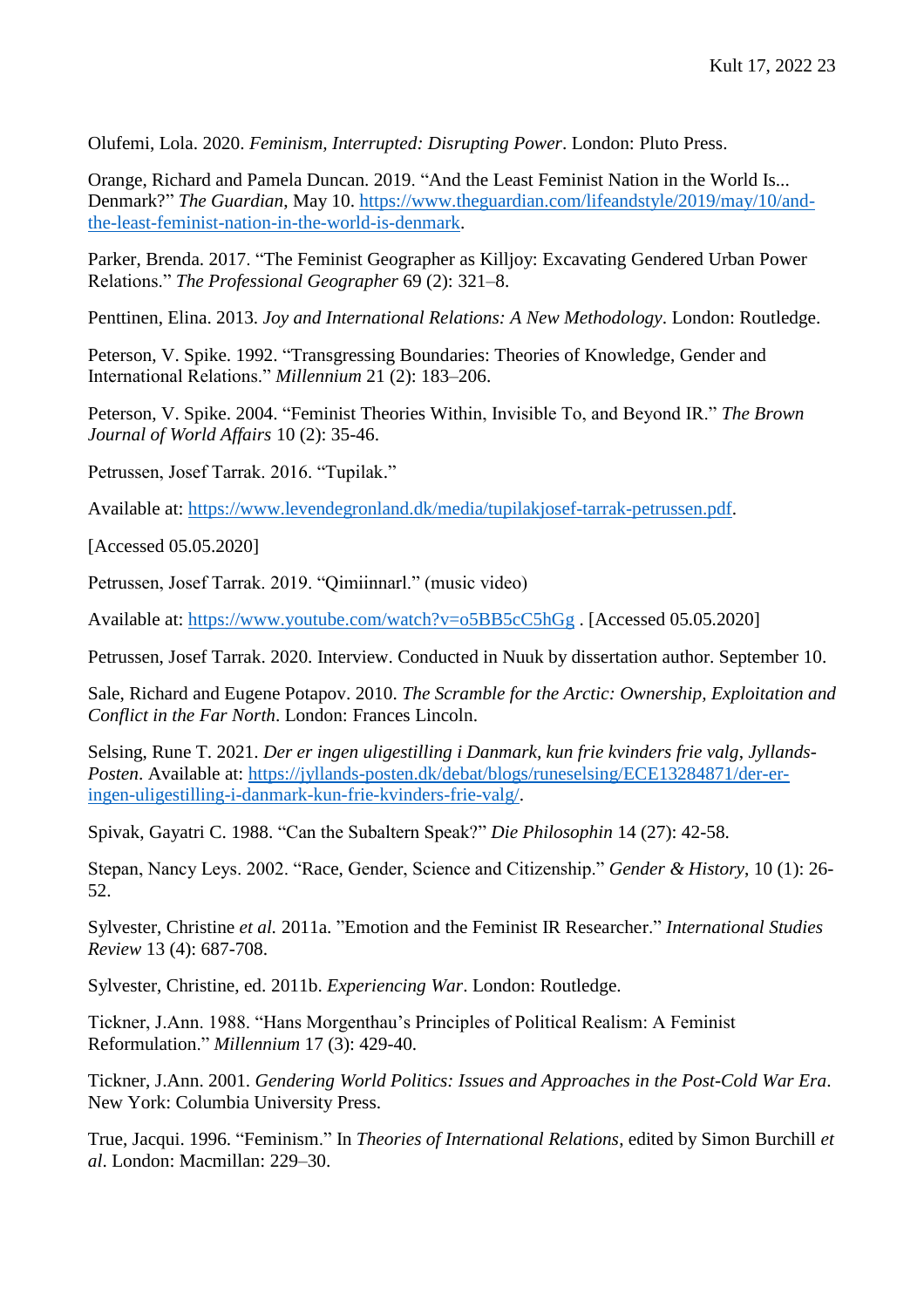Olufemi, Lola. 2020. *Feminism, Interrupted: Disrupting Power*. London: Pluto Press.

Orange, Richard and Pamela Duncan. 2019. "And the Least Feminist Nation in the World Is... Denmark?" *The Guardian*, May 10. [https://www.theguardian.com/lifeandstyle/2019/may/10/and](https://www.theguardian.com/lifeandstyle/2019/may/10/and-the-least-feminist-nation-in-the-world-is-denmark)[the-least-feminist-nation-in-the-world-is-denmark.](https://www.theguardian.com/lifeandstyle/2019/may/10/and-the-least-feminist-nation-in-the-world-is-denmark)

Parker, Brenda. 2017. "The Feminist Geographer as Killjoy: Excavating Gendered Urban Power Relations." *The Professional Geographer* 69 (2): 321–8.

Penttinen, Elina. 2013. *Joy and International Relations: A New Methodology*. London: Routledge.

Peterson, V. Spike. 1992. "Transgressing Boundaries: Theories of Knowledge, Gender and International Relations." *Millennium* 21 (2): 183–206.

Peterson, V. Spike. 2004. "Feminist Theories Within, Invisible To, and Beyond IR." *The Brown Journal of World Affairs* 10 (2): 35-46.

Petrussen, Josef Tarrak. 2016. "Tupilak."

Available at: [https://www.levendegronland.dk/media/tupilakjosef-tarrak-petrussen.pdf.](https://www.levendegronland.dk/media/tupilakjosef-tarrak-petrussen.pdf)

[Accessed 05.05.2020]

Petrussen, Josef Tarrak. 2019. "Qimiinnarl." (music video)

Available at:<https://www.youtube.com/watch?v=o5BB5cC5hGg> . [Accessed 05.05.2020]

Petrussen, Josef Tarrak. 2020. Interview. Conducted in Nuuk by dissertation author. September 10.

Sale, Richard and Eugene Potapov. 2010. *The Scramble for the Arctic: Ownership, Exploitation and Conflict in the Far North*. London: Frances Lincoln.

Selsing, Rune T. 2021. *Der er ingen uligestilling i Danmark, kun frie kvinders frie valg*, *Jyllands-Posten*. Available at: [https://jyllands-posten.dk/debat/blogs/runeselsing/ECE13284871/der-er](https://jyllands-posten.dk/debat/blogs/runeselsing/ECE13284871/der-er-ingen-uligestilling-i-danmark-kun-frie-kvinders-frie-valg/)[ingen-uligestilling-i-danmark-kun-frie-kvinders-frie-valg/.](https://jyllands-posten.dk/debat/blogs/runeselsing/ECE13284871/der-er-ingen-uligestilling-i-danmark-kun-frie-kvinders-frie-valg/)

Spivak, Gayatri C. 1988. "Can the Subaltern Speak?" *Die Philosophin* 14 (27): 42-58.

Stepan, Nancy Leys. 2002. "Race, Gender, Science and Citizenship." *Gender & History*, 10 (1): 26- 52.

Sylvester, Christine *et al.* 2011a. "Emotion and the Feminist IR Researcher." *International Studies Review* 13 (4): 687-708.

Sylvester, Christine, ed. 2011b. *Experiencing War*. London: Routledge.

Tickner, J.Ann. 1988. "Hans Morgenthau's Principles of Political Realism: A Feminist Reformulation." *Millennium* 17 (3): 429-40.

Tickner, J.Ann. 2001. *Gendering World Politics: Issues and Approaches in the Post-Cold War Era*. New York: Columbia University Press.

True, Jacqui. 1996. "Feminism." In *Theories of International Relations*, edited by Simon Burchill *et al*. London: Macmillan: 229–30.